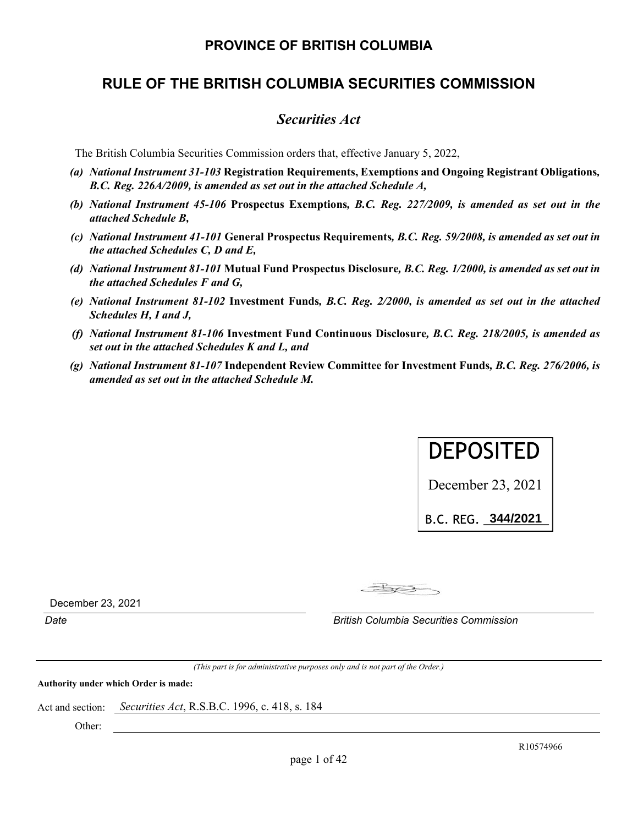# **PROVINCE OF BRITISH COLUMBIA**

# **RULE OF THE BRITISH COLUMBIA SECURITIES COMMISSION**

# *Securities Act*

The British Columbia Securities Commission orders that, effective January 5, 2022,

- *(a) National Instrument 31-103* **Registration Requirements, Exemptions and Ongoing Registrant Obligations***, B.C. Reg. 226A/2009, is amended as set out in the attached Schedule A,*
- *(b) National Instrument 45-106* **Prospectus Exemptions***, B.C. Reg. 227/2009, is amended as set out in the attached Schedule B,*
- *(c) National Instrument 41-101* **General Prospectus Requirements***, B.C. Reg. 59/2008, is amended as set out in the attached Schedules C, D and E,*
- *(d) National Instrument 81-101* **Mutual Fund Prospectus Disclosure***, B.C. Reg. 1/2000, is amended as set out in the attached Schedules F and G,*
- *(e) National Instrument 81-102* **Investment Funds***, B.C. Reg. 2/2000, is amended as set out in the attached Schedules H, I and J,*
- *(f) National Instrument 81-106* **Investment Fund Continuous Disclosure***, B.C. Reg. 218/2005, is amended as set out in the attached Schedules K and L, and*
- *(g) National Instrument 81-107* **Independent Review Committee for Investment Funds***, B.C. Reg. 276/2006, is amended as set out in the attached Schedule M.*



B.C.REG.\_\_\_\_\_\_\_\_\_\_ **344/2021**

 $-B<sub>1</sub>$ 

December 23, 2021

*Date British Columbia Securities Commission* 

*(This part is for administrative purposes only and is not part of the Order.)* 

**Authority under which Order is made:** 

Act and section: *Securities Act*, R.S.B.C. 1996, c. 418, s. 184

Other: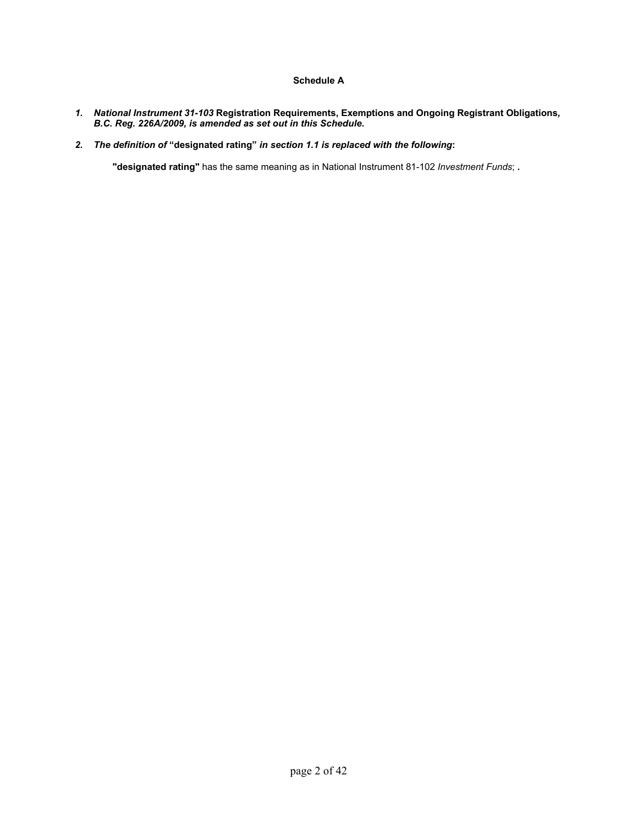# **Schedule A**

- *1. National Instrument 31-103* **Registration Requirements, Exemptions and Ongoing Registrant Obligations***, B.C. Reg. 226A/2009, is amended as set out in this Schedule.*
- *2. The definition of* **"designated rating"** *in section 1.1 is replaced with the following***:**

**"designated rating"** has the same meaning as in National Instrument 81-102 *Investment Funds*; *.*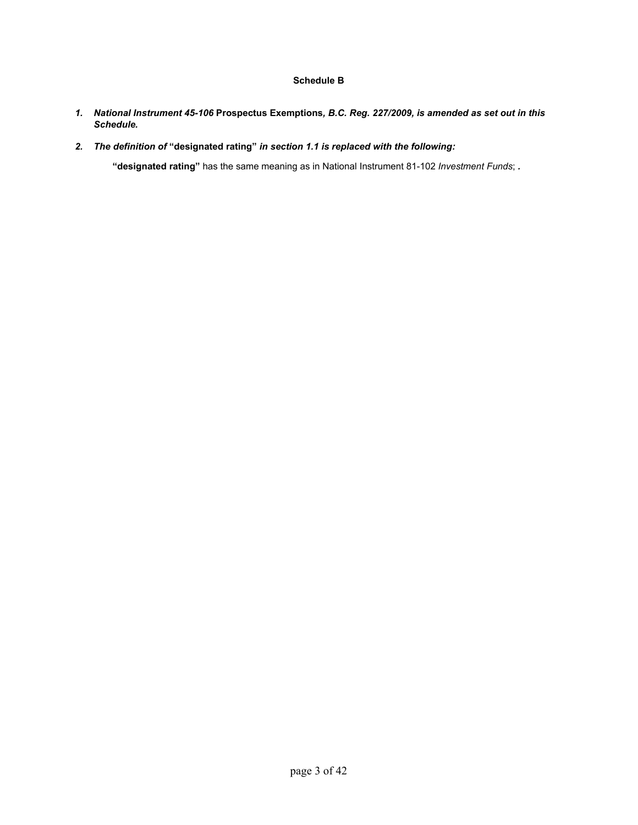# **Schedule B**

- *1. National Instrument 45-106* **Prospectus Exemptions***, B.C. Reg. 227/2009, is amended as set out in this Schedule.*
- *2. The definition of* **"designated rating"** *in section 1.1 is replaced with the following:*

**"designated rating"** has the same meaning as in National Instrument 81-102 *Investment Funds*; *.*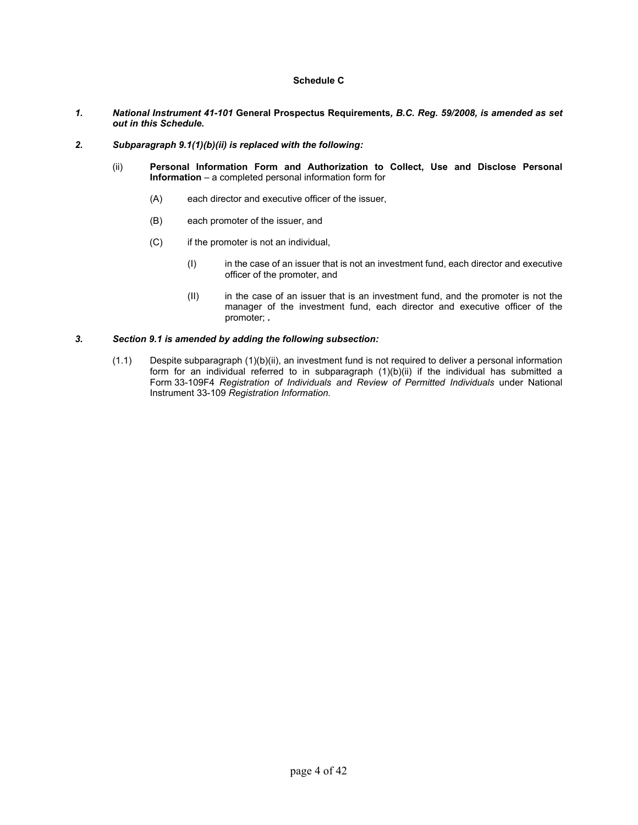# **Schedule C**

- *1. National Instrument 41-101* **General Prospectus Requirements***, B.C. Reg. 59/2008, is amended as set out in this Schedule.*
- *2. Subparagraph 9.1(1)(b)(ii) is replaced with the following:* 
	- (ii) **Personal Information Form and Authorization to Collect, Use and Disclose Personal Information** – a completed personal information form for
		- (A) each director and executive officer of the issuer,
		- (B) each promoter of the issuer, and
		- (C) if the promoter is not an individual,
			- (I) in the case of an issuer that is not an investment fund, each director and executive officer of the promoter, and
			- (II) in the case of an issuer that is an investment fund, and the promoter is not the manager of the investment fund, each director and executive officer of the promoter; *.*

## *3. Section 9.1 is amended by adding the following subsection:*

(1.1) Despite subparagraph (1)(b)(ii), an investment fund is not required to deliver a personal information form for an individual referred to in subparagraph (1)(b)(ii) if the individual has submitted a Form 33-109F4 *Registration of Individuals and Review of Permitted Individuals* under National Instrument 33-109 *Registration Information.*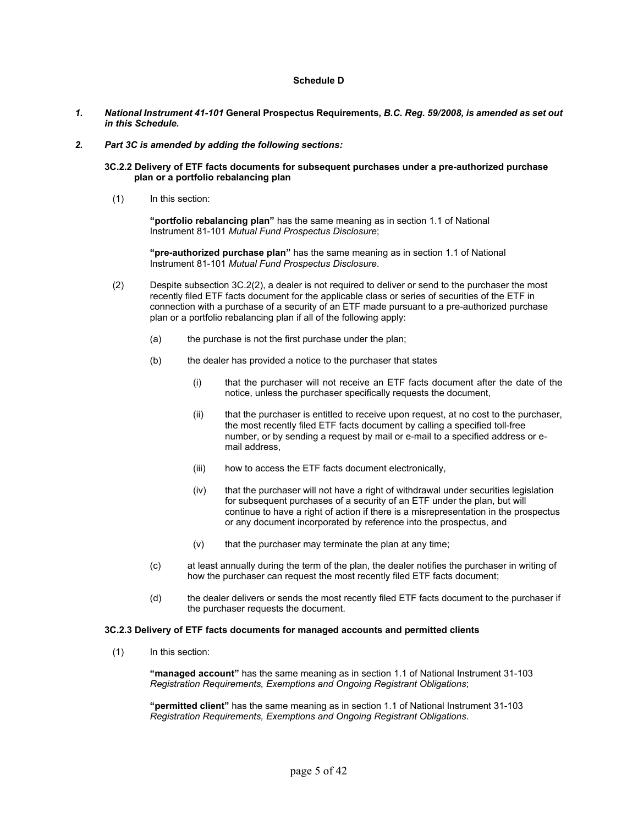# **Schedule D**

- *1. National Instrument 41-101* **General Prospectus Requirements***, B.C. Reg. 59/2008, is amended as set out in this Schedule.*
- *2. Part 3C is amended by adding the following sections:* 
	- **3C.2.2 Delivery of ETF facts documents for subsequent purchases under a pre-authorized purchase plan or a portfolio rebalancing plan** 
		- (1) In this section:

**"portfolio rebalancing plan"** has the same meaning as in section 1.1 of National Instrument 81-101 *Mutual Fund Prospectus Disclosure*;

**"pre-authorized purchase plan"** has the same meaning as in section 1.1 of National Instrument 81-101 *Mutual Fund Prospectus Disclosure*.

- (2) Despite subsection 3C.2(2), a dealer is not required to deliver or send to the purchaser the most recently filed ETF facts document for the applicable class or series of securities of the ETF in connection with a purchase of a security of an ETF made pursuant to a pre-authorized purchase plan or a portfolio rebalancing plan if all of the following apply:
	- (a) the purchase is not the first purchase under the plan;
	- (b) the dealer has provided a notice to the purchaser that states
		- (i) that the purchaser will not receive an ETF facts document after the date of the notice, unless the purchaser specifically requests the document,
		- (ii) that the purchaser is entitled to receive upon request, at no cost to the purchaser, the most recently filed ETF facts document by calling a specified toll-free number, or by sending a request by mail or e-mail to a specified address or e mail address,
		- (iii) how to access the ETF facts document electronically,
		- (iv) that the purchaser will not have a right of withdrawal under securities legislation for subsequent purchases of a security of an ETF under the plan, but will continue to have a right of action if there is a misrepresentation in the prospectus or any document incorporated by reference into the prospectus, and
		- $(v)$  that the purchaser may terminate the plan at any time;
	- (c) at least annually during the term of the plan, the dealer notifies the purchaser in writing of how the purchaser can request the most recently filed ETF facts document;
	- (d) the dealer delivers or sends the most recently filed ETF facts document to the purchaser if the purchaser requests the document.

#### **3C.2.3 Delivery of ETF facts documents for managed accounts and permitted clients**

(1) In this section:

 **"managed account"** has the same meaning as in section 1.1 of National Instrument 31-103 *Registration Requirements, Exemptions and Ongoing Registrant Obligations*;

 **"permitted client"** has the same meaning as in section 1.1 of National Instrument 31-103 *Registration Requirements, Exemptions and Ongoing Registrant Obligations*.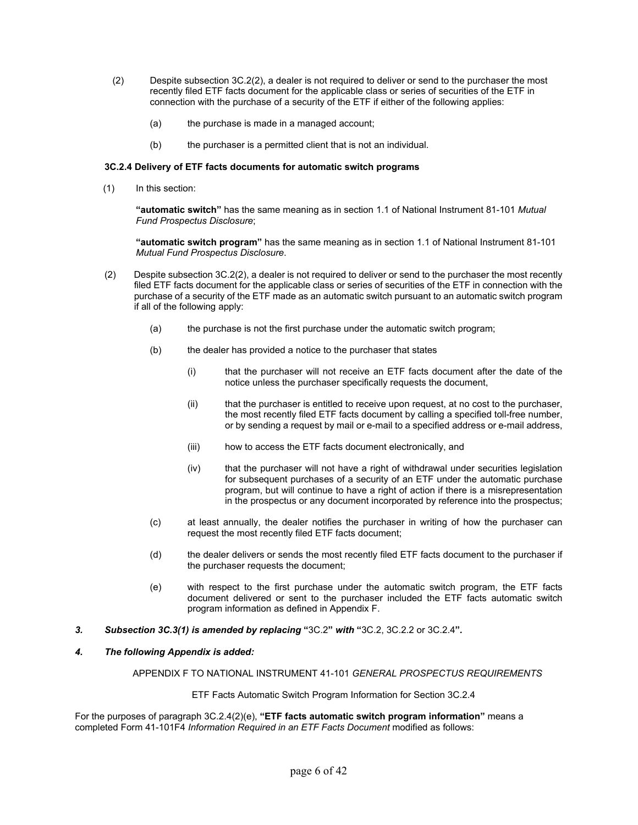- (2) Despite subsection 3C.2(2), a dealer is not required to deliver or send to the purchaser the most recently filed ETF facts document for the applicable class or series of securities of the ETF in connection with the purchase of a security of the ETF if either of the following applies:
	- (a) the purchase is made in a managed account;
	- (b) the purchaser is a permitted client that is not an individual.

# **3C.2.4 Delivery of ETF facts documents for automatic switch programs**

(1) In this section:

**"automatic switch"** has the same meaning as in section 1.1 of National Instrument 81-101 *Mutual Fund Prospectus Disclosure*;

 **"automatic switch program"** has the same meaning as in section 1.1 of National Instrument 81-101 *Mutual Fund Prospectus Disclosure*.

- (2) Despite subsection 3C.2(2), a dealer is not required to deliver or send to the purchaser the most recently filed ETF facts document for the applicable class or series of securities of the ETF in connection with the purchase of a security of the ETF made as an automatic switch pursuant to an automatic switch program if all of the following apply:
	- (a) the purchase is not the first purchase under the automatic switch program;
	- (b) the dealer has provided a notice to the purchaser that states
		- (i) that the purchaser will not receive an ETF facts document after the date of the notice unless the purchaser specifically requests the document,
		- (ii) that the purchaser is entitled to receive upon request, at no cost to the purchaser, the most recently filed ETF facts document by calling a specified toll-free number, or by sending a request by mail or e-mail to a specified address or e-mail address,
		- (iii) how to access the ETF facts document electronically, and
		- (iv) that the purchaser will not have a right of withdrawal under securities legislation for subsequent purchases of a security of an ETF under the automatic purchase program, but will continue to have a right of action if there is a misrepresentation in the prospectus or any document incorporated by reference into the prospectus;
	- (c) at least annually, the dealer notifies the purchaser in writing of how the purchaser can request the most recently filed ETF facts document;
	- (d) the dealer delivers or sends the most recently filed ETF facts document to the purchaser if the purchaser requests the document;
	- (e) with respect to the first purchase under the automatic switch program, the ETF facts document delivered or sent to the purchaser included the ETF facts automatic switch program information as defined in Appendix F.
- *3. Subsection 3C.3(1) is amended by replacing* **"**3C.2**"** *with* **"**3C.2, 3C.2.2 or 3C.2.4**"***.*

# *4. The following Appendix is added:*

APPENDIX F TO NATIONAL INSTRUMENT 41-101 *GENERAL PROSPECTUS REQUIREMENTS*

ETF Facts Automatic Switch Program Information for Section 3C.2.4

For the purposes of paragraph 3C.2.4(2)(e), **"ETF facts automatic switch program information"** means a completed Form 41-101F4 *Information Required in an ETF Facts Document* modified as follows: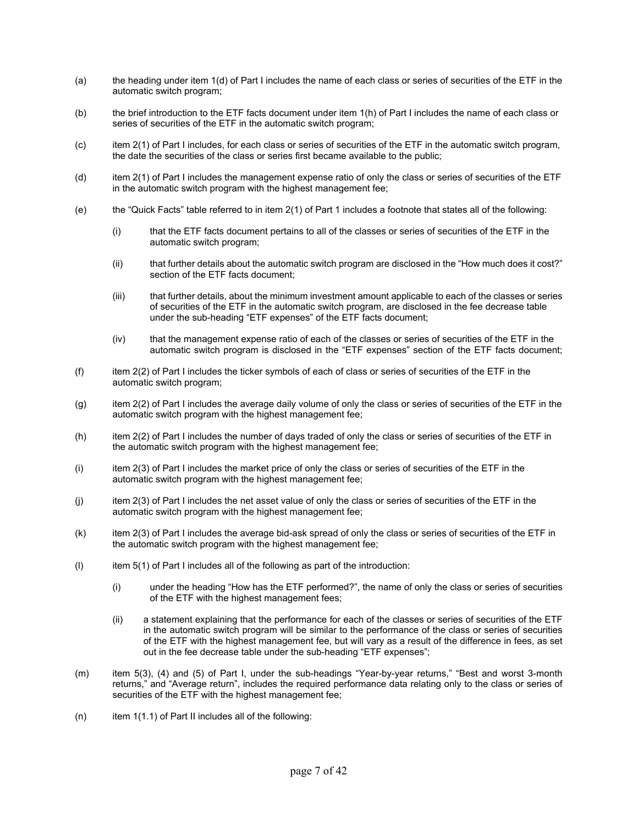- (a) the heading under item 1(d) of Part I includes the name of each class or series of securities of the ETF in the automatic switch program;
- (b) the brief introduction to the ETF facts document under item 1(h) of Part I includes the name of each class or series of securities of the ETF in the automatic switch program;
- (c) item 2(1) of Part I includes, for each class or series of securities of the ETF in the automatic switch program, the date the securities of the class or series first became available to the public;
- (d) item 2(1) of Part I includes the management expense ratio of only the class or series of securities of the ETF in the automatic switch program with the highest management fee;
- (e) the "Quick Facts" table referred to in item 2(1) of Part 1 includes a footnote that states all of the following:
	- (i) that the ETF facts document pertains to all of the classes or series of securities of the ETF in the automatic switch program;
	- (ii) that further details about the automatic switch program are disclosed in the "How much does it cost?" section of the ETF facts document;
	- (iii) that further details, about the minimum investment amount applicable to each of the classes or series of securities of the ETF in the automatic switch program, are disclosed in the fee decrease table under the sub-heading "ETF expenses" of the ETF facts document;
	- (iv) that the management expense ratio of each of the classes or series of securities of the ETF in the automatic switch program is disclosed in the "ETF expenses" section of the ETF facts document;
- (f) item 2(2) of Part I includes the ticker symbols of each of class or series of securities of the ETF in the automatic switch program;
- (g) item 2(2) of Part I includes the average daily volume of only the class or series of securities of the ETF in the automatic switch program with the highest management fee;
- (h) item 2(2) of Part I includes the number of days traded of only the class or series of securities of the ETF in the automatic switch program with the highest management fee;
- (i) item 2(3) of Part I includes the market price of only the class or series of securities of the ETF in the automatic switch program with the highest management fee;
- $(i)$  item 2(3) of Part I includes the net asset value of only the class or series of securities of the ETF in the automatic switch program with the highest management fee;
- (k) item 2(3) of Part I includes the average bid-ask spread of only the class or series of securities of the ETF in the automatic switch program with the highest management fee;
- $(1)$  item 5(1) of Part I includes all of the following as part of the introduction:
	- (i) under the heading "How has the ETF performed?", the name of only the class or series of securities of the ETF with the highest management fees;
	- (ii) a statement explaining that the performance for each of the classes or series of securities of the ETF in the automatic switch program will be similar to the performance of the class or series of securities of the ETF with the highest management fee, but will vary as a result of the difference in fees, as set out in the fee decrease table under the sub-heading "ETF expenses";
- (m) item 5(3), (4) and (5) of Part I, under the sub-headings "Year-by-year returns," "Best and worst 3-month returns," and "Average return", includes the required performance data relating only to the class or series of securities of the ETF with the highest management fee;
- $(n)$  item 1(1.1) of Part II includes all of the following: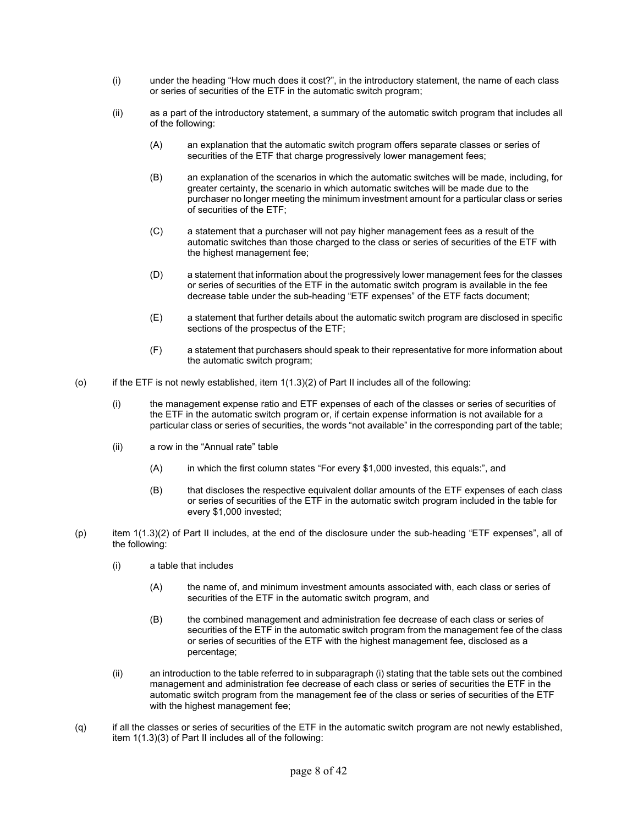- (i) under the heading "How much does it cost?", in the introductory statement, the name of each class or series of securities of the ETF in the automatic switch program;
- (ii) as a part of the introductory statement, a summary of the automatic switch program that includes all of the following:
	- (A) an explanation that the automatic switch program offers separate classes or series of securities of the ETF that charge progressively lower management fees;
	- (B) an explanation of the scenarios in which the automatic switches will be made, including, for greater certainty, the scenario in which automatic switches will be made due to the purchaser no longer meeting the minimum investment amount for a particular class or series of securities of the ETF;
	- (C) a statement that a purchaser will not pay higher management fees as a result of the automatic switches than those charged to the class or series of securities of the ETF with the highest management fee;
	- (D) a statement that information about the progressively lower management fees for the classes or series of securities of the ETF in the automatic switch program is available in the fee decrease table under the sub-heading "ETF expenses" of the ETF facts document;
	- (E) a statement that further details about the automatic switch program are disclosed in specific sections of the prospectus of the ETF;
	- (F) a statement that purchasers should speak to their representative for more information about the automatic switch program;
- $(0)$  if the ETF is not newly established, item  $1(1.3)(2)$  of Part II includes all of the following:
	- (i) the management expense ratio and ETF expenses of each of the classes or series of securities of the ETF in the automatic switch program or, if certain expense information is not available for a particular class or series of securities, the words "not available" in the corresponding part of the table;
	- (ii) a row in the "Annual rate" table
		- (A) in which the first column states "For every \$1,000 invested, this equals:", and
		- (B) that discloses the respective equivalent dollar amounts of the ETF expenses of each class or series of securities of the ETF in the automatic switch program included in the table for every \$1,000 invested;
- (p) item 1(1.3)(2) of Part II includes, at the end of the disclosure under the sub-heading "ETF expenses", all of the following:
	- (i) a table that includes
		- (A) the name of, and minimum investment amounts associated with, each class or series of securities of the ETF in the automatic switch program, and
		- (B) the combined management and administration fee decrease of each class or series of securities of the ETF in the automatic switch program from the management fee of the class or series of securities of the ETF with the highest management fee, disclosed as a percentage;
	- (ii) an introduction to the table referred to in subparagraph (i) stating that the table sets out the combined management and administration fee decrease of each class or series of securities the ETF in the automatic switch program from the management fee of the class or series of securities of the ETF with the highest management fee;
- (q) if all the classes or series of securities of the ETF in the automatic switch program are not newly established, item 1(1.3)(3) of Part II includes all of the following: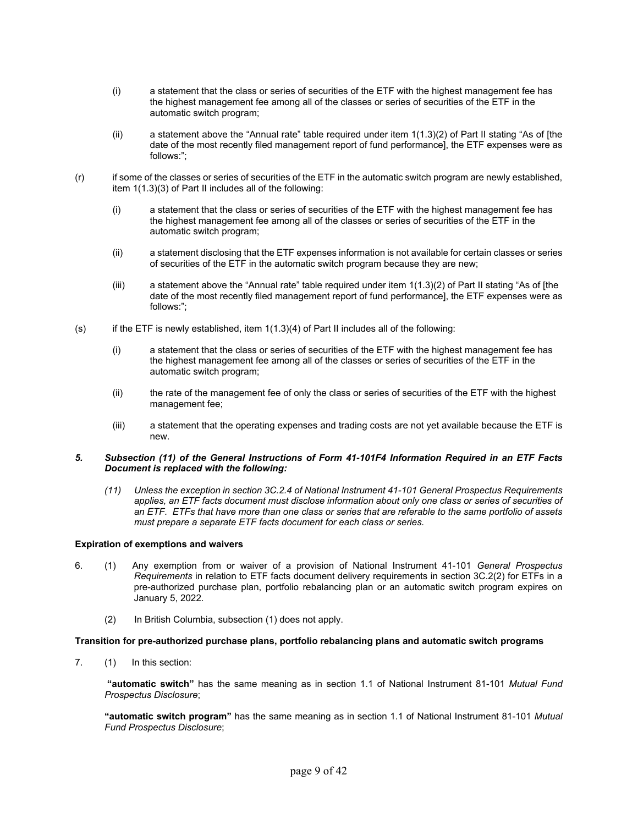- (i) a statement that the class or series of securities of the ETF with the highest management fee has the highest management fee among all of the classes or series of securities of the ETF in the automatic switch program;
- (ii) a statement above the "Annual rate" table required under item 1(1.3)(2) of Part II stating "As of [the date of the most recently filed management report of fund performance], the ETF expenses were as follows:";
- (r) if some of the classes or series of securities of the ETF in the automatic switch program are newly established, item 1(1.3)(3) of Part II includes all of the following:
	- (i) a statement that the class or series of securities of the ETF with the highest management fee has the highest management fee among all of the classes or series of securities of the ETF in the automatic switch program;
	- (ii) a statement disclosing that the ETF expenses information is not available for certain classes or series of securities of the ETF in the automatic switch program because they are new;
	- (iii) a statement above the "Annual rate" table required under item 1(1.3)(2) of Part II stating "As of [the date of the most recently filed management report of fund performance], the ETF expenses were as follows:";
- $(s)$  if the ETF is newly established, item  $1(1.3)(4)$  of Part II includes all of the following:
	- (i) a statement that the class or series of securities of the ETF with the highest management fee has the highest management fee among all of the classes or series of securities of the ETF in the automatic switch program;
	- (ii) the rate of the management fee of only the class or series of securities of the ETF with the highest management fee;
	- (iii) a statement that the operating expenses and trading costs are not yet available because the ETF is new.

# *5. Subsection (11) of the General Instructions of Form 41-101F4 Information Required in an ETF Facts Document is replaced with the following:*

*(11) Unless the exception in section 3C.2.4 of National Instrument 41-101 General Prospectus Requirements applies, an ETF facts document must disclose information about only one class or series of securities of an ETF. ETFs that have more than one class or series that are referable to the same portfolio of assets must prepare a separate ETF facts document for each class or series.* 

# **Expiration of exemptions and waivers**

- 6. (1) Any exemption from or waiver of a provision of National Instrument 41-101 *General Prospectus Requirements* in relation to ETF facts document delivery requirements in section 3C.2(2) for ETFs in a pre-authorized purchase plan, portfolio rebalancing plan or an automatic switch program expires on January 5, 2022.
	- (2) In British Columbia, subsection (1) does not apply.

## **Transition for pre-authorized purchase plans, portfolio rebalancing plans and automatic switch programs**

7. (1) In this section:

 **"automatic switch"** has the same meaning as in section 1.1 of National Instrument 81-101 *Mutual Fund Prospectus Disclosure*;

**"automatic switch program"** has the same meaning as in section 1.1 of National Instrument 81-101 *Mutual Fund Prospectus Disclosure*;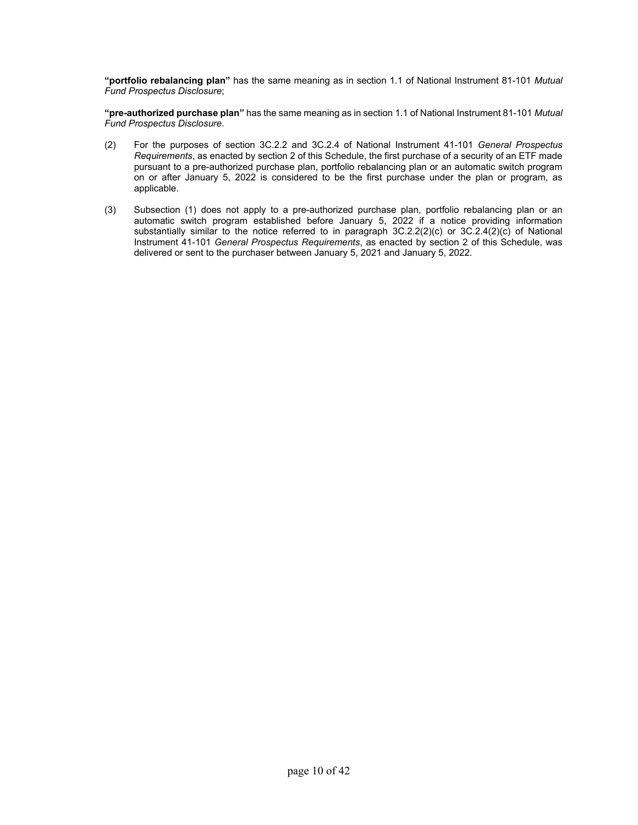**"portfolio rebalancing plan"** has the same meaning as in section 1.1 of National Instrument 81-101 *Mutual Fund Prospectus Disclosure*;

**"pre-authorized purchase plan"** has the same meaning as in section 1.1 of National Instrument 81-101 *Mutual Fund Prospectus Disclosure*.

- (2) For the purposes of section 3C.2.2 and 3C.2.4 of National Instrument 41-101 *General Prospectus Requirements*, as enacted by section 2 of this Schedule, the first purchase of a security of an ETF made pursuant to a pre-authorized purchase plan, portfolio rebalancing plan or an automatic switch program on or after January 5, 2022 is considered to be the first purchase under the plan or program, as applicable.
- (3) Subsection (1) does not apply to a pre-authorized purchase plan, portfolio rebalancing plan or an automatic switch program established before January 5, 2022 if a notice providing information substantially similar to the notice referred to in paragraph 3C.2.2(2)(c) or 3C.2.4(2)(c) of National Instrument 41-101 *General Prospectus Requirements*, as enacted by section 2 of this Schedule, was delivered or sent to the purchaser between January 5, 2021 and January 5, 2022.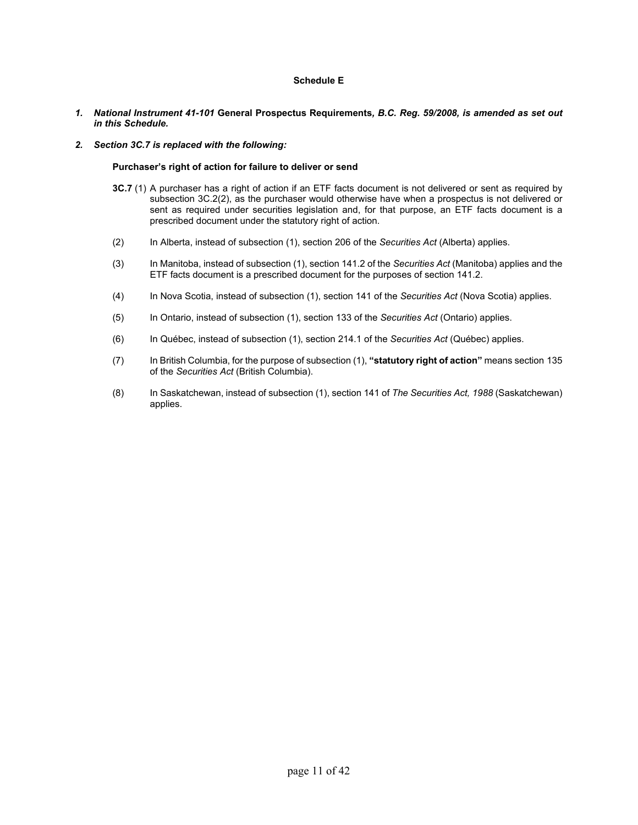# **Schedule E**

- *1. National Instrument 41-101* **General Prospectus Requirements***, B.C. Reg. 59/2008, is amended as set out in this Schedule.*
- *2. Section 3C.7 is replaced with the following:*

#### **Purchaser's right of action for failure to deliver or send**

- **3C.7** (1) A purchaser has a right of action if an ETF facts document is not delivered or sent as required by subsection 3C.2(2), as the purchaser would otherwise have when a prospectus is not delivered or sent as required under securities legislation and, for that purpose, an ETF facts document is a prescribed document under the statutory right of action.
- (2) In Alberta, instead of subsection (1), section 206 of the *Securities Act* (Alberta) applies.
- (3) In Manitoba, instead of subsection (1), section 141.2 of the *Securities Act* (Manitoba) applies and the ETF facts document is a prescribed document for the purposes of section 141.2.
- (4) In Nova Scotia, instead of subsection (1), section 141 of the *Securities Act* (Nova Scotia) applies.
- (5) In Ontario, instead of subsection (1), section 133 of the *Securities Act* (Ontario) applies.
- (6) In Québec, instead of subsection (1), section 214.1 of the *Securities Act* (Québec) applies.
- (7) In British Columbia, for the purpose of subsection (1), **"statutory right of action"** means section 135 of the *Securities Act* (British Columbia).
- (8) In Saskatchewan, instead of subsection (1), section 141 of *The Securities Act, 1988* (Saskatchewan) applies.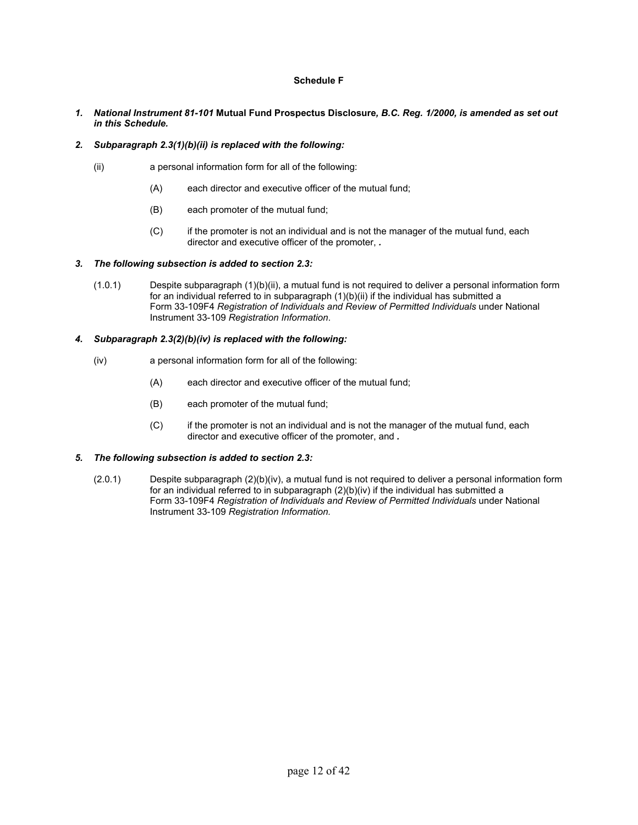# **Schedule F**

*1. National Instrument 81-101* **Mutual Fund Prospectus Disclosure***, B.C. Reg. 1/2000, is amended as set out in this Schedule.* 

# *2. Subparagraph 2.3(1)(b)(ii) is replaced with the following:*

- (ii) a personal information form for all of the following:
	- (A) each director and executive officer of the mutual fund;
	- (B) each promoter of the mutual fund;
	- (C) if the promoter is not an individual and is not the manager of the mutual fund, each director and executive officer of the promoter, *.*

## *3. The following subsection is added to section 2.3:*

(1.0.1) Despite subparagraph (1)(b)(ii), a mutual fund is not required to deliver a personal information form for an individual referred to in subparagraph (1)(b)(ii) if the individual has submitted a Form 33-109F4 *Registration of Individuals and Review of Permitted Individuals* under National Instrument 33-109 *Registration Information*.

# *4. Subparagraph 2.3(2)(b)(iv) is replaced with the following:*

- (iv) a personal information form for all of the following:
	- (A) each director and executive officer of the mutual fund;
	- (B) each promoter of the mutual fund;
	- (C) if the promoter is not an individual and is not the manager of the mutual fund, each director and executive officer of the promoter, and *.*

# *5. The following subsection is added to section 2.3:*

(2.0.1) Despite subparagraph (2)(b)(iv), a mutual fund is not required to deliver a personal information form for an individual referred to in subparagraph (2)(b)(iv) if the individual has submitted a Form 33-109F4 *Registration of Individuals and Review of Permitted Individuals* under National Instrument 33-109 *Registration Information.*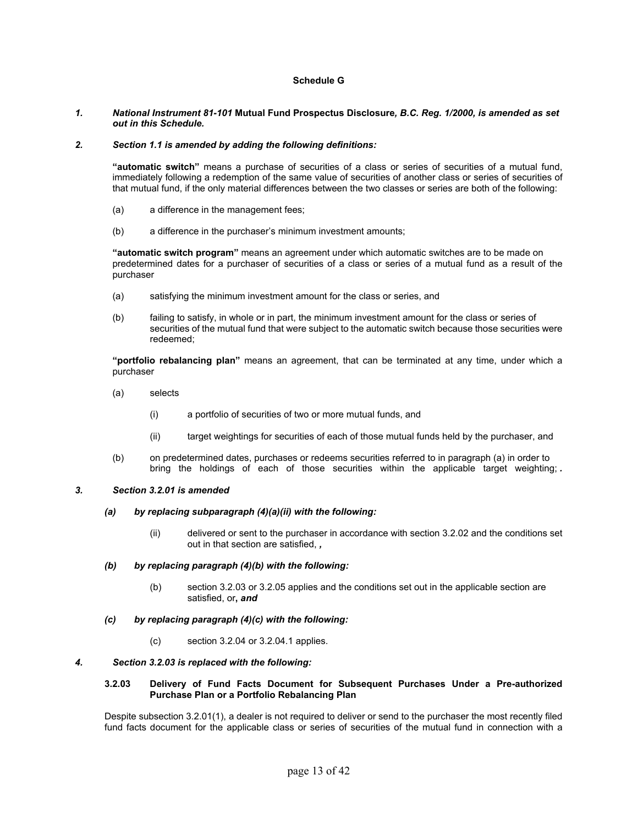# **Schedule G**

#### *1. National Instrument 81-101* **Mutual Fund Prospectus Disclosure***, B.C. Reg. 1/2000, is amended as set out in this Schedule.*

#### *2. Section 1.1 is amended by adding the following definitions:*

**"automatic switch"** means a purchase of securities of a class or series of securities of a mutual fund, immediately following a redemption of the same value of securities of another class or series of securities of that mutual fund, if the only material differences between the two classes or series are both of the following:

- (a) a difference in the management fees;
- (b) a difference in the purchaser's minimum investment amounts;

**"automatic switch program"** means an agreement under which automatic switches are to be made on predetermined dates for a purchaser of securities of a class or series of a mutual fund as a result of the purchaser

- (a) satisfying the minimum investment amount for the class or series, and
- (b) failing to satisfy, in whole or in part, the minimum investment amount for the class or series of securities of the mutual fund that were subject to the automatic switch because those securities were redeemed;

**"portfolio rebalancing plan"** means an agreement, that can be terminated at any time, under which a purchaser

- (a) selects
	- (i) a portfolio of securities of two or more mutual funds, and
	- (ii) target weightings for securities of each of those mutual funds held by the purchaser, and
- (b) on predetermined dates, purchases or redeems securities referred to in paragraph (a) in order to bring the holdings of each of those securities within the applicable target weighting; *.*

# *3. Section 3.2.01 is amended*

#### *(a) by replacing subparagraph (4)(a)(ii) with the following:*

 (ii) delivered or sent to the purchaser in accordance with section 3.2.02 and the conditions set out in that section are satisfied, *,* 

#### *(b) by replacing paragraph (4)(b) with the following:*

 (b) section 3.2.03 or 3.2.05 applies and the conditions set out in the applicable section are satisfied, or**,** *and*

#### *(c) by replacing paragraph (4)(c) with the following:*

(c) section 3.2.04 or 3.2.04.1 applies.

#### *4. Section 3.2.03 is replaced with the following:*

#### **3.2.03 Delivery of Fund Facts Document for Subsequent Purchases Under a Pre-authorized Purchase Plan or a Portfolio Rebalancing Plan**

Despite subsection 3.2.01(1), a dealer is not required to deliver or send to the purchaser the most recently filed fund facts document for the applicable class or series of securities of the mutual fund in connection with a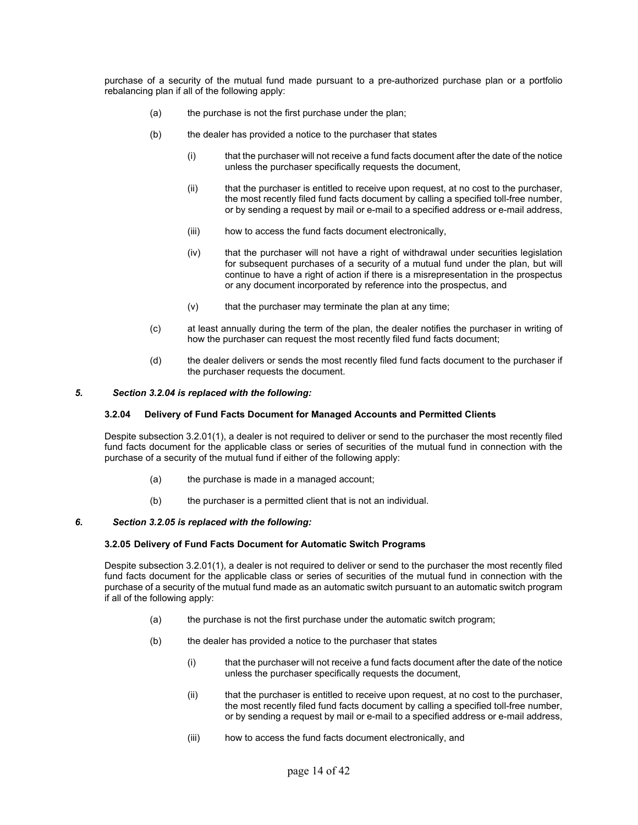purchase of a security of the mutual fund made pursuant to a pre-authorized purchase plan or a portfolio rebalancing plan if all of the following apply:

- (a) the purchase is not the first purchase under the plan;
- (b) the dealer has provided a notice to the purchaser that states
	- (i) that the purchaser will not receive a fund facts document after the date of the notice unless the purchaser specifically requests the document,
	- (ii) that the purchaser is entitled to receive upon request, at no cost to the purchaser, the most recently filed fund facts document by calling a specified toll-free number, or by sending a request by mail or e-mail to a specified address or e-mail address,
	- (iii) how to access the fund facts document electronically,
	- (iv) that the purchaser will not have a right of withdrawal under securities legislation for subsequent purchases of a security of a mutual fund under the plan, but will continue to have a right of action if there is a misrepresentation in the prospectus or any document incorporated by reference into the prospectus, and
	- $(v)$  that the purchaser may terminate the plan at any time;
- (c) at least annually during the term of the plan, the dealer notifies the purchaser in writing of how the purchaser can request the most recently filed fund facts document;
- (d) the dealer delivers or sends the most recently filed fund facts document to the purchaser if the purchaser requests the document.

#### *5. Section 3.2.04 is replaced with the following:*

#### **3.2.04 Delivery of Fund Facts Document for Managed Accounts and Permitted Clients**

Despite subsection 3.2.01(1), a dealer is not required to deliver or send to the purchaser the most recently filed fund facts document for the applicable class or series of securities of the mutual fund in connection with the purchase of a security of the mutual fund if either of the following apply:

- (a) the purchase is made in a managed account;
- (b) the purchaser is a permitted client that is not an individual.

## *6. Section 3.2.05 is replaced with the following:*

#### **3.2.05 Delivery of Fund Facts Document for Automatic Switch Programs**

Despite subsection 3.2.01(1), a dealer is not required to deliver or send to the purchaser the most recently filed fund facts document for the applicable class or series of securities of the mutual fund in connection with the purchase of a security of the mutual fund made as an automatic switch pursuant to an automatic switch program if all of the following apply:

- (a) the purchase is not the first purchase under the automatic switch program;
- (b) the dealer has provided a notice to the purchaser that states
	- (i) that the purchaser will not receive a fund facts document after the date of the notice unless the purchaser specifically requests the document,
	- (ii) that the purchaser is entitled to receive upon request, at no cost to the purchaser, the most recently filed fund facts document by calling a specified toll-free number, or by sending a request by mail or e-mail to a specified address or e-mail address,
	- (iii) how to access the fund facts document electronically, and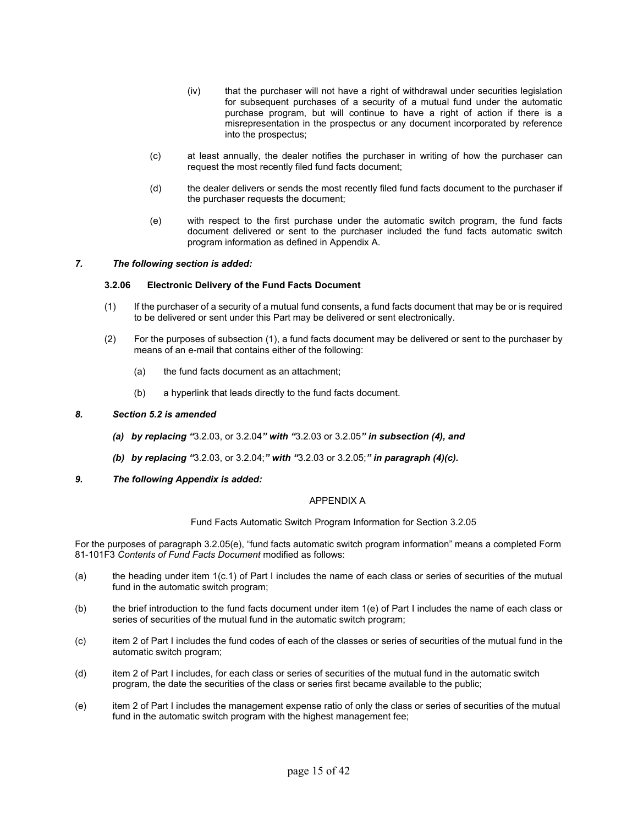- (iv) that the purchaser will not have a right of withdrawal under securities legislation for subsequent purchases of a security of a mutual fund under the automatic purchase program, but will continue to have a right of action if there is a misrepresentation in the prospectus or any document incorporated by reference into the prospectus;
- (c) at least annually, the dealer notifies the purchaser in writing of how the purchaser can request the most recently filed fund facts document;
- (d) the dealer delivers or sends the most recently filed fund facts document to the purchaser if the purchaser requests the document;
- (e) with respect to the first purchase under the automatic switch program, the fund facts document delivered or sent to the purchaser included the fund facts automatic switch program information as defined in Appendix A.

# *7. The following section is added:*

## **3.2.06 Electronic Delivery of the Fund Facts Document**

- (1) If the purchaser of a security of a mutual fund consents, a fund facts document that may be or is required to be delivered or sent under this Part may be delivered or sent electronically.
- (2) For the purposes of subsection (1), a fund facts document may be delivered or sent to the purchaser by means of an e-mail that contains either of the following:
	- (a) the fund facts document as an attachment;
	- (b) a hyperlink that leads directly to the fund facts document.

#### *8. Section 5.2 is amended*

- *(a) by replacing "*3.2.03, or 3.2.04*" with "*3.2.03 or 3.2.05*" in subsection (4), and*
- *(b) by replacing "*3.2.03, or 3.2.04;*" with "*3.2.03 or 3.2.05;*" in paragraph (4)(c).*
- *9. The following Appendix is added:*

#### APPENDIX A

Fund Facts Automatic Switch Program Information for Section 3.2.05

For the purposes of paragraph 3.2.05(e), "fund facts automatic switch program information" means a completed Form 81-101F3 *Contents of Fund Facts Document* modified as follows:

- (a) the heading under item 1(c.1) of Part I includes the name of each class or series of securities of the mutual fund in the automatic switch program;
- (b) the brief introduction to the fund facts document under item 1(e) of Part I includes the name of each class or series of securities of the mutual fund in the automatic switch program;
- (c) item 2 of Part I includes the fund codes of each of the classes or series of securities of the mutual fund in the automatic switch program;
- (d) item 2 of Part I includes, for each class or series of securities of the mutual fund in the automatic switch program, the date the securities of the class or series first became available to the public;
- (e) item 2 of Part I includes the management expense ratio of only the class or series of securities of the mutual fund in the automatic switch program with the highest management fee;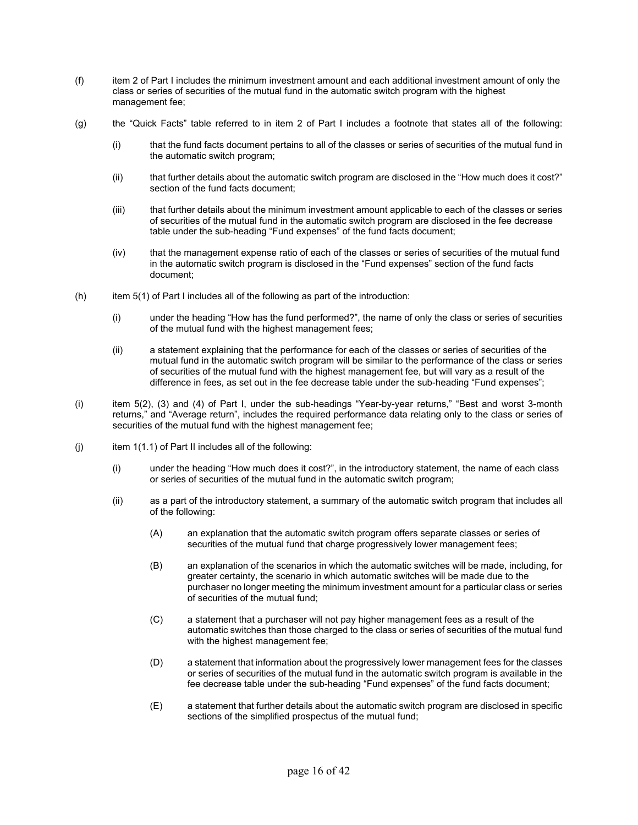- (f) item 2 of Part I includes the minimum investment amount and each additional investment amount of only the class or series of securities of the mutual fund in the automatic switch program with the highest management fee;
- (g) the "Quick Facts" table referred to in item 2 of Part I includes a footnote that states all of the following:
	- (i) that the fund facts document pertains to all of the classes or series of securities of the mutual fund in the automatic switch program;
	- (ii) that further details about the automatic switch program are disclosed in the "How much does it cost?" section of the fund facts document;
	- (iii) that further details about the minimum investment amount applicable to each of the classes or series of securities of the mutual fund in the automatic switch program are disclosed in the fee decrease table under the sub-heading "Fund expenses" of the fund facts document;
	- (iv) that the management expense ratio of each of the classes or series of securities of the mutual fund in the automatic switch program is disclosed in the "Fund expenses" section of the fund facts document;
- $(h)$  item 5(1) of Part I includes all of the following as part of the introduction:
	- (i) under the heading "How has the fund performed?", the name of only the class or series of securities of the mutual fund with the highest management fees;
	- (ii) a statement explaining that the performance for each of the classes or series of securities of the mutual fund in the automatic switch program will be similar to the performance of the class or series of securities of the mutual fund with the highest management fee, but will vary as a result of the difference in fees, as set out in the fee decrease table under the sub-heading "Fund expenses";
- (i) item 5(2), (3) and (4) of Part I, under the sub-headings "Year-by-year returns," "Best and worst 3-month returns," and "Average return", includes the required performance data relating only to the class or series of securities of the mutual fund with the highest management fee;
- (i) item  $1(1.1)$  of Part II includes all of the following:
	- (i) under the heading "How much does it cost?", in the introductory statement, the name of each class or series of securities of the mutual fund in the automatic switch program;
	- (ii) as a part of the introductory statement, a summary of the automatic switch program that includes all of the following:
		- (A) an explanation that the automatic switch program offers separate classes or series of securities of the mutual fund that charge progressively lower management fees;
		- (B) an explanation of the scenarios in which the automatic switches will be made, including, for greater certainty, the scenario in which automatic switches will be made due to the purchaser no longer meeting the minimum investment amount for a particular class or series of securities of the mutual fund;
		- (C) a statement that a purchaser will not pay higher management fees as a result of the automatic switches than those charged to the class or series of securities of the mutual fund with the highest management fee;
		- (D) a statement that information about the progressively lower management fees for the classes or series of securities of the mutual fund in the automatic switch program is available in the fee decrease table under the sub-heading "Fund expenses" of the fund facts document;
		- (E) a statement that further details about the automatic switch program are disclosed in specific sections of the simplified prospectus of the mutual fund;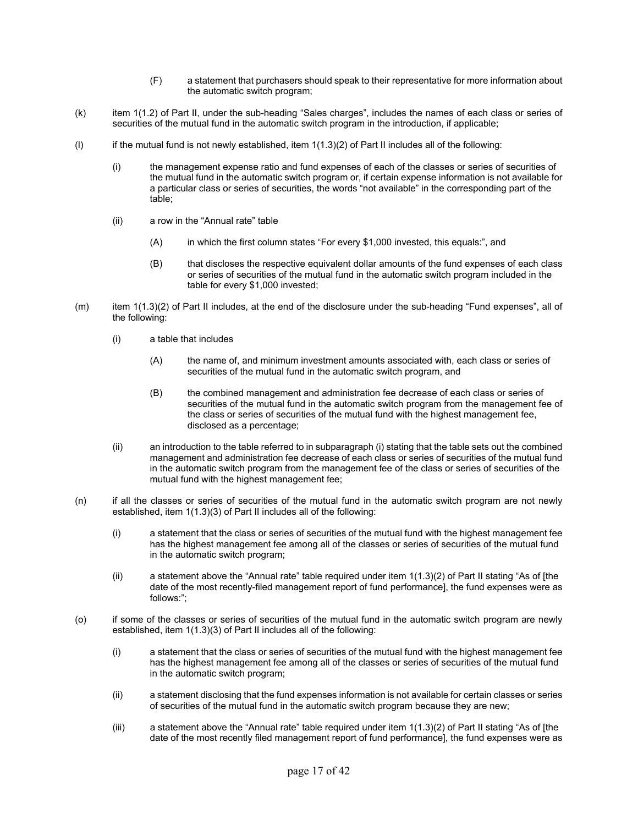- (F) a statement that purchasers should speak to their representative for more information about the automatic switch program;
- (k) item 1(1.2) of Part II, under the sub-heading "Sales charges", includes the names of each class or series of securities of the mutual fund in the automatic switch program in the introduction, if applicable;
- (I) if the mutual fund is not newly established, item  $1(1.3)(2)$  of Part II includes all of the following:
	- (i) the management expense ratio and fund expenses of each of the classes or series of securities of the mutual fund in the automatic switch program or, if certain expense information is not available for a particular class or series of securities, the words "not available" in the corresponding part of the table;
	- (ii) a row in the "Annual rate" table
		- (A) in which the first column states "For every \$1,000 invested, this equals:", and
		- (B) that discloses the respective equivalent dollar amounts of the fund expenses of each class or series of securities of the mutual fund in the automatic switch program included in the table for every \$1,000 invested;
- (m) item 1(1.3)(2) of Part II includes, at the end of the disclosure under the sub-heading "Fund expenses", all of the following:
	- (i) a table that includes
		- (A) the name of, and minimum investment amounts associated with, each class or series of securities of the mutual fund in the automatic switch program, and
		- (B) the combined management and administration fee decrease of each class or series of securities of the mutual fund in the automatic switch program from the management fee of the class or series of securities of the mutual fund with the highest management fee, disclosed as a percentage;
	- (ii) an introduction to the table referred to in subparagraph (i) stating that the table sets out the combined management and administration fee decrease of each class or series of securities of the mutual fund in the automatic switch program from the management fee of the class or series of securities of the mutual fund with the highest management fee;
- (n) if all the classes or series of securities of the mutual fund in the automatic switch program are not newly established, item 1(1.3)(3) of Part II includes all of the following:
	- (i) a statement that the class or series of securities of the mutual fund with the highest management fee has the highest management fee among all of the classes or series of securities of the mutual fund in the automatic switch program;
	- (ii) a statement above the "Annual rate" table required under item 1(1.3)(2) of Part II stating "As of [the date of the most recently-filed management report of fund performance], the fund expenses were as follows:";
- (o) if some of the classes or series of securities of the mutual fund in the automatic switch program are newly established, item 1(1.3)(3) of Part II includes all of the following:
	- (i) a statement that the class or series of securities of the mutual fund with the highest management fee has the highest management fee among all of the classes or series of securities of the mutual fund in the automatic switch program;
	- (ii) a statement disclosing that the fund expenses information is not available for certain classes or series of securities of the mutual fund in the automatic switch program because they are new;
	- (iii) a statement above the "Annual rate" table required under item 1(1.3)(2) of Part II stating "As of [the date of the most recently filed management report of fund performance], the fund expenses were as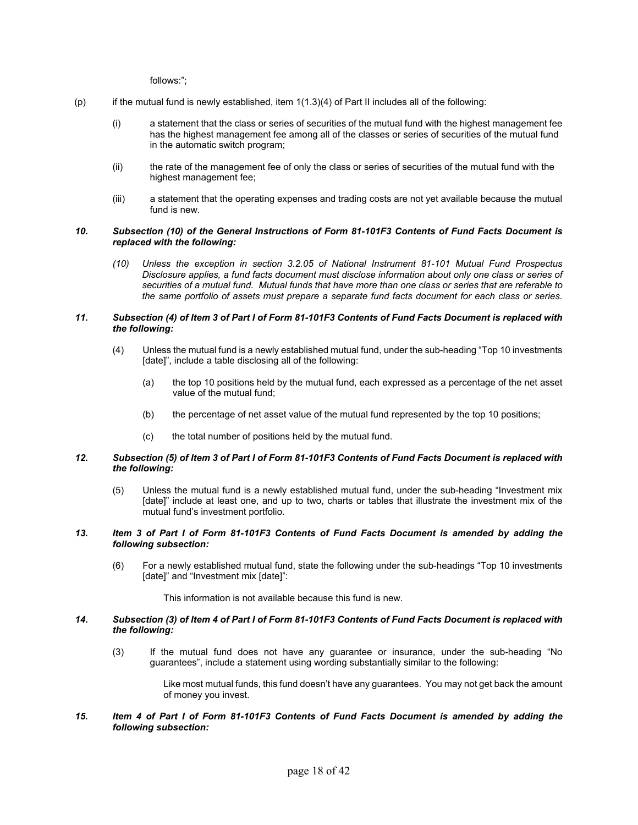follows:";

- (p) if the mutual fund is newly established, item 1(1.3)(4) of Part II includes all of the following:
	- (i) a statement that the class or series of securities of the mutual fund with the highest management fee has the highest management fee among all of the classes or series of securities of the mutual fund in the automatic switch program;
	- (ii) the rate of the management fee of only the class or series of securities of the mutual fund with the highest management fee;
	- (iii) a statement that the operating expenses and trading costs are not yet available because the mutual fund is new.

#### *10. Subsection (10) of the General Instructions of Form 81-101F3 Contents of Fund Facts Document is replaced with the following:*

*(10) Unless the exception in section 3.2.05 of National Instrument 81-101 Mutual Fund Prospectus Disclosure applies, a fund facts document must disclose information about only one class or series of securities of a mutual fund. Mutual funds that have more than one class or series that are referable to the same portfolio of assets must prepare a separate fund facts document for each class or series.*

# *11. Subsection (4) of Item 3 of Part I of Form 81-101F3 Contents of Fund Facts Document is replaced with the following:*

- (4) Unless the mutual fund is a newly established mutual fund, under the sub-heading "Top 10 investments [date]", include a table disclosing all of the following:
	- (a) the top 10 positions held by the mutual fund, each expressed as a percentage of the net asset value of the mutual fund;
	- (b) the percentage of net asset value of the mutual fund represented by the top 10 positions;
	- (c) the total number of positions held by the mutual fund.

#### *12. Subsection (5) of Item 3 of Part I of Form 81-101F3 Contents of Fund Facts Document is replaced with the following:*

(5) Unless the mutual fund is a newly established mutual fund, under the sub-heading "Investment mix [date]" include at least one, and up to two, charts or tables that illustrate the investment mix of the mutual fund's investment portfolio.

#### *13. Item 3 of Part I of Form 81-101F3 Contents of Fund Facts Document is amended by adding the following subsection:*

(6) For a newly established mutual fund, state the following under the sub-headings "Top 10 investments [date]" and "Investment mix [date]":

This information is not available because this fund is new.

#### *14. Subsection (3) of Item 4 of Part I of Form 81-101F3 Contents of Fund Facts Document is replaced with the following:*

(3) If the mutual fund does not have any guarantee or insurance, under the sub-heading "No guarantees", include a statement using wording substantially similar to the following:

> Like most mutual funds, this fund doesn't have any guarantees. You may not get back the amount of money you invest.

*15. Item 4 of Part I of Form 81-101F3 Contents of Fund Facts Document is amended by adding the following subsection:*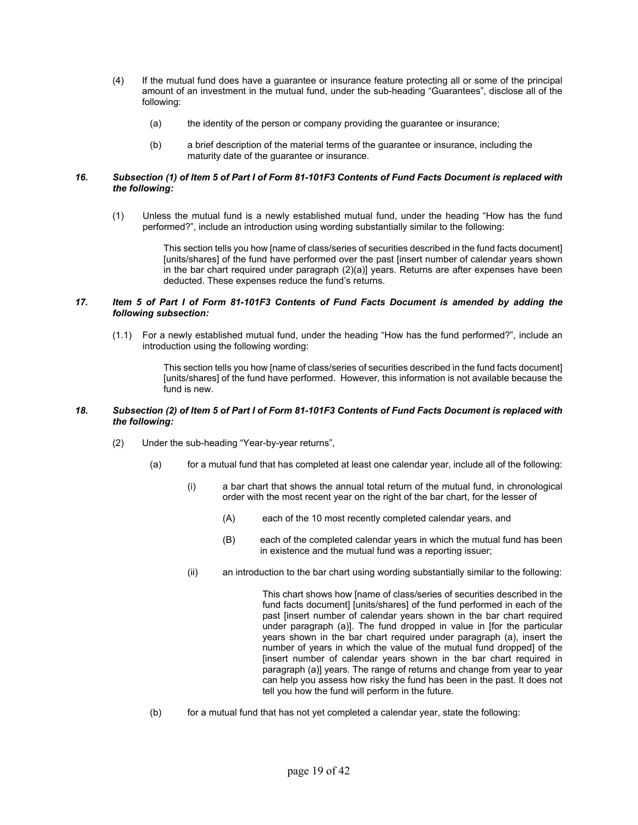- (4) If the mutual fund does have a guarantee or insurance feature protecting all or some of the principal amount of an investment in the mutual fund, under the sub-heading "Guarantees", disclose all of the following:
	- (a) the identity of the person or company providing the guarantee or insurance;
	- (b) a brief description of the material terms of the guarantee or insurance, including the maturity date of the guarantee or insurance.

# *16. Subsection (1) of Item 5 of Part I of Form 81-101F3 Contents of Fund Facts Document is replaced with the following:*

(1) Unless the mutual fund is a newly established mutual fund, under the heading "How has the fund performed?", include an introduction using wording substantially similar to the following:

> This section tells you how [name of class/series of securities described in the fund facts document] [units/shares] of the fund have performed over the past [insert number of calendar years shown in the bar chart required under paragraph (2)(a)] years. Returns are after expenses have been deducted. These expenses reduce the fund's returns.

## *17. Item 5 of Part I of Form 81-101F3 Contents of Fund Facts Document is amended by adding the following subsection:*

(1.1) For a newly established mutual fund, under the heading "How has the fund performed?", include an introduction using the following wording:

> This section tells you how [name of class/series of securities described in the fund facts document] [units/shares] of the fund have performed. However, this information is not available because the fund is new.

## *18. Subsection (2) of Item 5 of Part I of Form 81-101F3 Contents of Fund Facts Document is replaced with the following:*

- (2) Under the sub-heading "Year-by-year returns",
	- (a) for a mutual fund that has completed at least one calendar year, include all of the following:
		- (i) a bar chart that shows the annual total return of the mutual fund, in chronological order with the most recent year on the right of the bar chart, for the lesser of
			- (A) each of the 10 most recently completed calendar years, and
			- (B) each of the completed calendar years in which the mutual fund has been in existence and the mutual fund was a reporting issuer;
		- (ii) an introduction to the bar chart using wording substantially similar to the following:

This chart shows how [name of class/series of securities described in the fund facts document] [units/shares] of the fund performed in each of the past [insert number of calendar years shown in the bar chart required under paragraph (a)]. The fund dropped in value in [for the particular years shown in the bar chart required under paragraph (a), insert the number of years in which the value of the mutual fund dropped] of the [insert number of calendar years shown in the bar chart required in paragraph (a)] years. The range of returns and change from year to year can help you assess how risky the fund has been in the past. It does not tell you how the fund will perform in the future.

(b) for a mutual fund that has not yet completed a calendar year, state the following: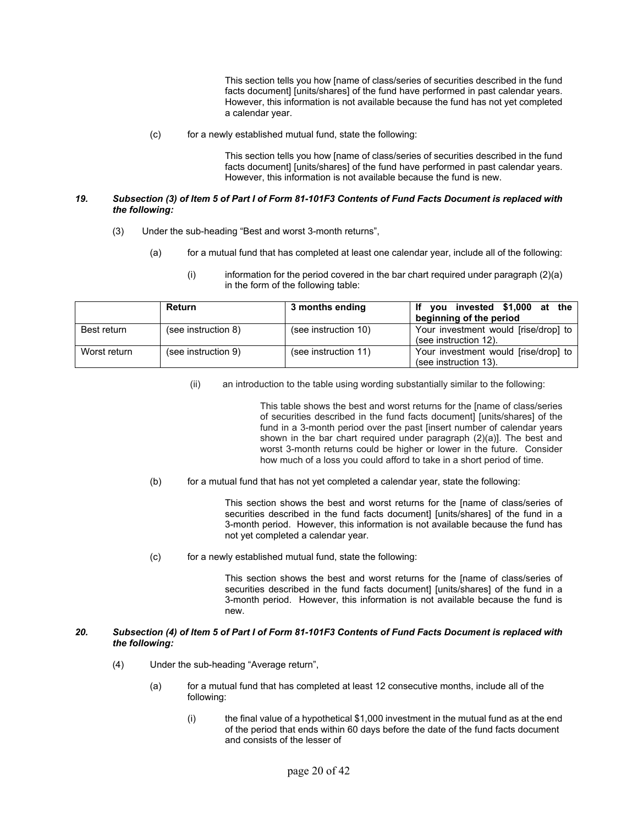This section tells you how [name of class/series of securities described in the fund facts document] [units/shares] of the fund have performed in past calendar years. However, this information is not available because the fund has not yet completed a calendar year.

(c) for a newly established mutual fund, state the following:

This section tells you how [name of class/series of securities described in the fund facts document] [units/shares] of the fund have performed in past calendar years. However, this information is not available because the fund is new.

## *19. Subsection (3) of Item 5 of Part I of Form 81-101F3 Contents of Fund Facts Document is replaced with the following:*

- (3) Under the sub-heading "Best and worst 3-month returns",
	- (a) for a mutual fund that has completed at least one calendar year, include all of the following:
		- $(i)$  information for the period covered in the bar chart required under paragraph  $(2)(a)$ in the form of the following table:

|              | Return              | 3 months ending      | invested \$1,000 at the<br>vou       |
|--------------|---------------------|----------------------|--------------------------------------|
|              |                     |                      | beginning of the period              |
| Best return  | (see instruction 8) | (see instruction 10) | Your investment would [rise/drop] to |
|              |                     |                      | (see instruction 12).                |
| Worst return | (see instruction 9) | (see instruction 11) | Your investment would [rise/drop] to |
|              |                     |                      | (see instruction 13).                |

(ii) an introduction to the table using wording substantially similar to the following:

This table shows the best and worst returns for the [name of class/series of securities described in the fund facts document] [units/shares] of the fund in a 3-month period over the past [insert number of calendar years shown in the bar chart required under paragraph (2)(a)]. The best and worst 3-month returns could be higher or lower in the future. Consider how much of a loss you could afford to take in a short period of time.

(b) for a mutual fund that has not yet completed a calendar year, state the following:

This section shows the best and worst returns for the [name of class/series of securities described in the fund facts document] [units/shares] of the fund in a 3-month period. However, this information is not available because the fund has not yet completed a calendar year.

(c) for a newly established mutual fund, state the following:

This section shows the best and worst returns for the [name of class/series of securities described in the fund facts document] [units/shares] of the fund in a 3-month period. However, this information is not available because the fund is new.

#### *20. Subsection (4) of Item 5 of Part I of Form 81-101F3 Contents of Fund Facts Document is replaced with the following:*

- (4) Under the sub-heading "Average return",
	- (a) for a mutual fund that has completed at least 12 consecutive months, include all of the following:
		- (i) the final value of a hypothetical \$1,000 investment in the mutual fund as at the end of the period that ends within 60 days before the date of the fund facts document and consists of the lesser of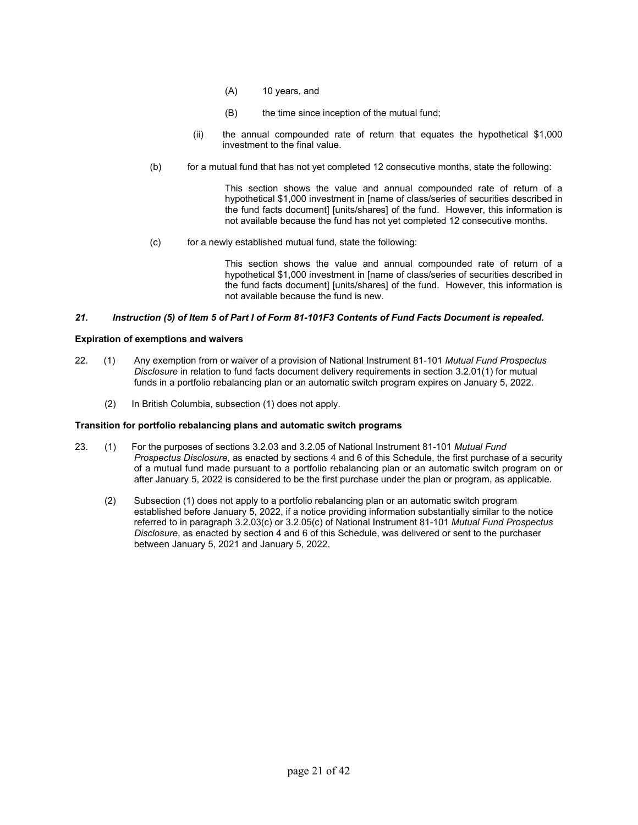- (A) 10 years, and
- (B) the time since inception of the mutual fund;
- (ii) the annual compounded rate of return that equates the hypothetical \$1,000 investment to the final value.
- (b) for a mutual fund that has not yet completed 12 consecutive months, state the following:

This section shows the value and annual compounded rate of return of a hypothetical \$1,000 investment in [name of class/series of securities described in the fund facts document] [units/shares] of the fund. However, this information is not available because the fund has not yet completed 12 consecutive months.

(c) for a newly established mutual fund, state the following:

This section shows the value and annual compounded rate of return of a hypothetical \$1,000 investment in [name of class/series of securities described in the fund facts document] [units/shares] of the fund. However, this information is not available because the fund is new.

# *21. Instruction (5) of Item 5 of Part I of Form 81-101F3 Contents of Fund Facts Document is repealed.*

## **Expiration of exemptions and waivers**

- 22. (1) Any exemption from or waiver of a provision of National Instrument 81-101 *Mutual Fund Prospectus Disclosure* in relation to fund facts document delivery requirements in section 3.2.01(1) for mutual funds in a portfolio rebalancing plan or an automatic switch program expires on January 5, 2022.
	- (2) In British Columbia, subsection (1) does not apply.

## **Transition for portfolio rebalancing plans and automatic switch programs**

- 23. (1) For the purposes of sections 3.2.03 and 3.2.05 of National Instrument 81-101 *Mutual Fund Prospectus Disclosure*, as enacted by sections 4 and 6 of this Schedule, the first purchase of a security of a mutual fund made pursuant to a portfolio rebalancing plan or an automatic switch program on or after January 5, 2022 is considered to be the first purchase under the plan or program, as applicable.
	- (2) Subsection (1) does not apply to a portfolio rebalancing plan or an automatic switch program established before January 5, 2022, if a notice providing information substantially similar to the notice referred to in paragraph 3.2.03(c) or 3.2.05(c) of National Instrument 81-101 *Mutual Fund Prospectus Disclosure*, as enacted by section 4 and 6 of this Schedule, was delivered or sent to the purchaser between January 5, 2021 and January 5, 2022.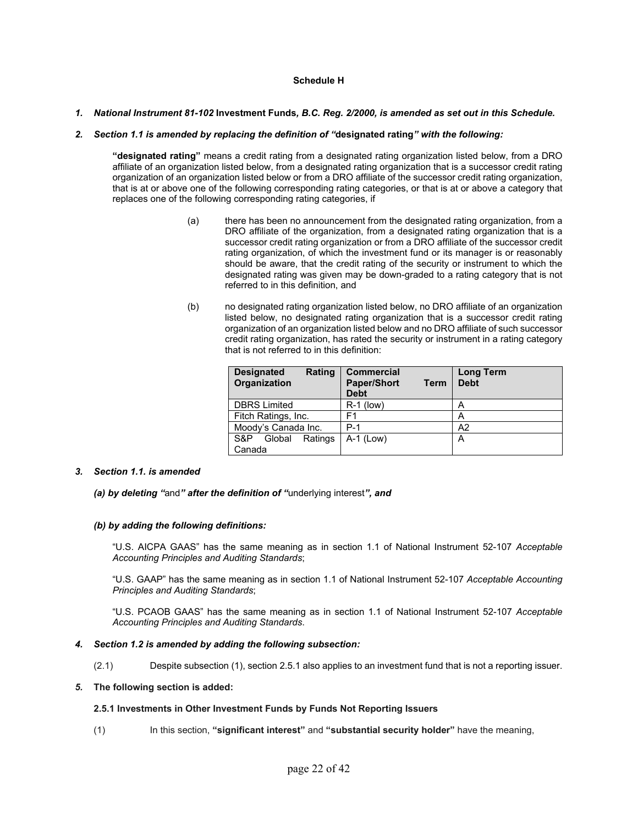# **Schedule H**

## *1. National Instrument 81-102* **Investment Funds***, B.C. Reg. 2/2000, is amended as set out in this Schedule.*

#### *2. Section 1.1 is amended by replacing the definition of "***designated rating***" with the following:*

**"designated rating"** means a credit rating from a designated rating organization listed below, from a DRO affiliate of an organization listed below, from a designated rating organization that is a successor credit rating organization of an organization listed below or from a DRO affiliate of the successor credit rating organization, that is at or above one of the following corresponding rating categories, or that is at or above a category that replaces one of the following corresponding rating categories, if

- (a) there has been no announcement from the designated rating organization, from a DRO affiliate of the organization, from a designated rating organization that is a successor credit rating organization or from a DRO affiliate of the successor credit rating organization, of which the investment fund or its manager is or reasonably should be aware, that the credit rating of the security or instrument to which the designated rating was given may be down-graded to a rating category that is not referred to in this definition, and
- (b) no designated rating organization listed below, no DRO affiliate of an organization listed below, no designated rating organization that is a successor credit rating organization of an organization listed below and no DRO affiliate of such successor credit rating organization, has rated the security or instrument in a rating category that is not referred to in this definition:

| Rating<br><b>Designated</b><br>Organization | <b>Commercial</b><br><b>Paper/Short</b><br><b>Term</b><br><b>Debt</b> | <b>Long Term</b><br><b>Debt</b> |
|---------------------------------------------|-----------------------------------------------------------------------|---------------------------------|
| <b>DBRS</b> Limited                         | $R-1$ (low)                                                           | А                               |
| Fitch Ratings, Inc.                         | F1                                                                    | А                               |
| Moody's Canada Inc.                         | $P-1$                                                                 | A <sub>2</sub>                  |
| Global<br>Ratings<br>S&P                    | $A-1$ (Low)                                                           | А                               |
| Canada                                      |                                                                       |                                 |

## *3. Section 1.1. is amended*

*(a) by deleting "*and*" after the definition of "*underlying interest*", and* 

#### *(b) by adding the following definitions:*

"U.S. AICPA GAAS" has the same meaning as in section 1.1 of National Instrument 52-107 *Acceptable Accounting Principles and Auditing Standards*;

"U.S. GAAP" has the same meaning as in section 1.1 of National Instrument 52-107 *Acceptable Accounting Principles and Auditing Standards*;

"U.S. PCAOB GAAS" has the same meaning as in section 1.1 of National Instrument 52-107 *Acceptable Accounting Principles and Auditing Standards*.

#### *4. Section 1.2 is amended by adding the following subsection:*

(2.1) Despite subsection (1), section 2.5.1 also applies to an investment fund that is not a reporting issuer.

#### *5.* **The following section is added:**

#### **2.5.1 Investments in Other Investment Funds by Funds Not Reporting Issuers**

(1)In this section, **"significant interest"** and **"substantial security holder"** have the meaning,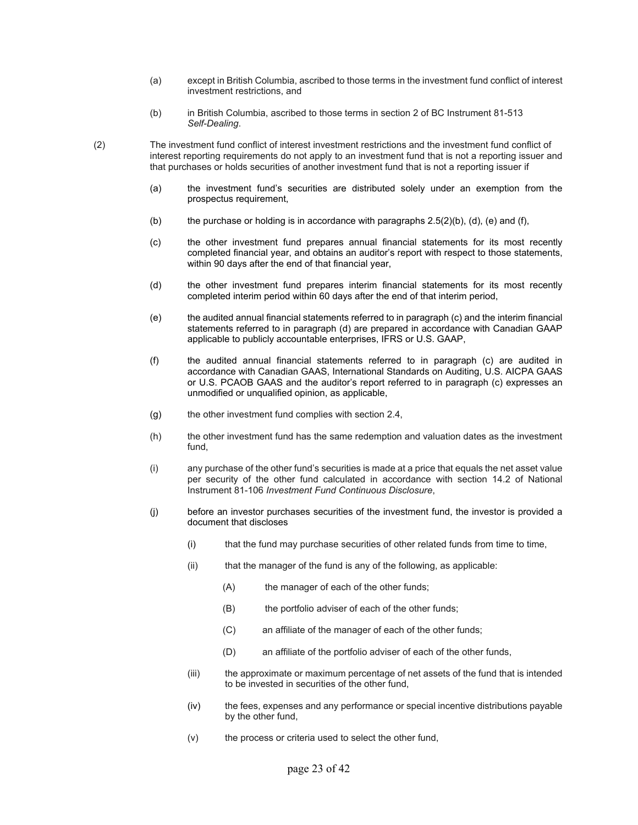- (a) except in British Columbia, ascribed to those terms in the investment fund conflict of interest investment restrictions, and
- (b) in British Columbia, ascribed to those terms in section 2 of BC Instrument 81-513 *Self-Dealing*.
- (2) The investment fund conflict of interest investment restrictions and the investment fund conflict of interest reporting requirements do not apply to an investment fund that is not a reporting issuer and that purchases or holds securities of another investment fund that is not a reporting issuer if
	- (a) the investment fund's securities are distributed solely under an exemption from the prospectus requirement,
	- (b) the purchase or holding is in accordance with paragraphs  $2.5(2)(b)$ , (d), (e) and (f),
	- (c) the other investment fund prepares annual financial statements for its most recently completed financial year, and obtains an auditor's report with respect to those statements, within 90 days after the end of that financial year,
	- (d) the other investment fund prepares interim financial statements for its most recently completed interim period within 60 days after the end of that interim period,
	- (e) the audited annual financial statements referred to in paragraph (c) and the interim financial statements referred to in paragraph (d) are prepared in accordance with Canadian GAAP applicable to publicly accountable enterprises, IFRS or U.S. GAAP,
	- (f) the audited annual financial statements referred to in paragraph (c) are audited in accordance with Canadian GAAS, International Standards on Auditing, U.S. AICPA GAAS or U.S. PCAOB GAAS and the auditor's report referred to in paragraph (c) expresses an unmodified or unqualified opinion, as applicable,
	- $(g)$  the other investment fund complies with section 2.4,
	- (h) the other investment fund has the same redemption and valuation dates as the investment fund,
	- (i) any purchase of the other fund's securities is made at a price that equals the net asset value per security of the other fund calculated in accordance with section 14.2 of National Instrument 81-106 *Investment Fund Continuous Disclosure*,
	- (j) before an investor purchases securities of the investment fund, the investor is provided a document that discloses
		- (i) that the fund may purchase securities of other related funds from time to time,
		- (ii) that the manager of the fund is any of the following, as applicable:
			- (A) the manager of each of the other funds;
			- (B) the portfolio adviser of each of the other funds;
			- (C) an affiliate of the manager of each of the other funds;
			- (D) an affiliate of the portfolio adviser of each of the other funds,
		- (iii) the approximate or maximum percentage of net assets of the fund that is intended to be invested in securities of the other fund,
		- (iv) the fees, expenses and any performance or special incentive distributions payable by the other fund,
		- (v) the process or criteria used to select the other fund,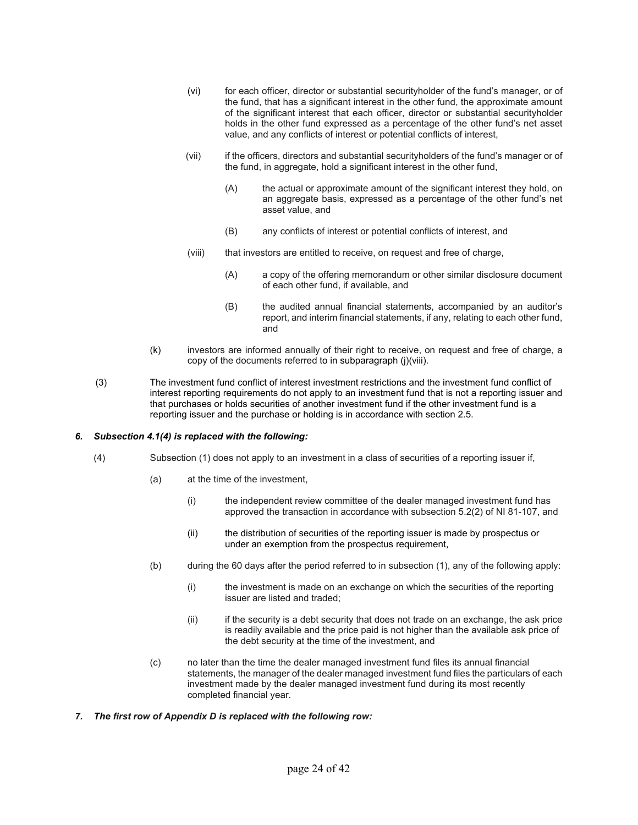- (vi) for each officer, director or substantial securityholder of the fund's manager, or of the fund, that has a significant interest in the other fund, the approximate amount of the significant interest that each officer, director or substantial securityholder holds in the other fund expressed as a percentage of the other fund's net asset value, and any conflicts of interest or potential conflicts of interest,
- (vii) if the officers, directors and substantial securityholders of the fund's manager or of the fund, in aggregate, hold a significant interest in the other fund,
	- (A) the actual or approximate amount of the significant interest they hold, on an aggregate basis, expressed as a percentage of the other fund's net asset value, and
	- (B) any conflicts of interest or potential conflicts of interest, and
- (viii) that investors are entitled to receive, on request and free of charge,
	- (A) a copy of the offering memorandum or other similar disclosure document of each other fund, if available, and
	- (B) the audited annual financial statements, accompanied by an auditor's report, and interim financial statements, if any, relating to each other fund, and
- (k) investors are informed annually of their right to receive, on request and free of charge, a copy of the documents referred to in subparagraph (j)(viii).
- (3) The investment fund conflict of interest investment restrictions and the investment fund conflict of interest reporting requirements do not apply to an investment fund that is not a reporting issuer and that purchases or holds securities of another investment fund if the other investment fund is a reporting issuer and the purchase or holding is in accordance with section 2.5.

## *6. Subsection 4.1(4) is replaced with the following:*

- (4) Subsection (1) does not apply to an investment in a class of securities of a reporting issuer if,
	- (a) at the time of the investment,
		- (i) the independent review committee of the dealer managed investment fund has approved the transaction in accordance with subsection 5.2(2) of NI 81-107, and
		- (ii) the distribution of securities of the reporting issuer is made by prospectus or under an exemption from the prospectus requirement,
	- (b) during the 60 days after the period referred to in subsection (1), any of the following apply:
		- (i) the investment is made on an exchange on which the securities of the reporting issuer are listed and traded;
		- (ii) if the security is a debt security that does not trade on an exchange, the ask price is readily available and the price paid is not higher than the available ask price of the debt security at the time of the investment, and
	- (c) no later than the time the dealer managed investment fund files its annual financial statements, the manager of the dealer managed investment fund files the particulars of each investment made by the dealer managed investment fund during its most recently completed financial year.
- *7. The first row of Appendix D is replaced with the following row:*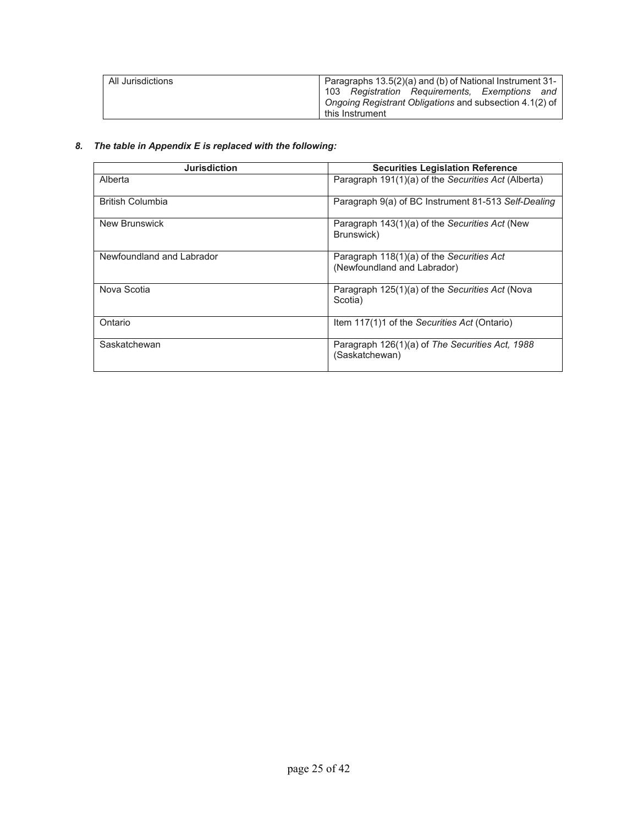| All Jurisdictions | Paragraphs 13.5(2)(a) and (b) of National Instrument 31- |  |
|-------------------|----------------------------------------------------------|--|
|                   | 103 Registration Requirements, Exemptions and            |  |
|                   | Ongoing Registrant Obligations and subsection 4.1(2) of  |  |
|                   | this Instrument                                          |  |

# *8. The table in Appendix E is replaced with the following:*

| <b>Jurisdiction</b>       | <b>Securities Legislation Reference</b>                                  |  |
|---------------------------|--------------------------------------------------------------------------|--|
| Alberta                   | Paragraph 191(1)(a) of the Securities Act (Alberta)                      |  |
| <b>British Columbia</b>   | Paragraph 9(a) of BC Instrument 81-513 Self-Dealing                      |  |
| New Brunswick             | Paragraph 143(1)(a) of the Securities Act (New<br>Brunswick)             |  |
| Newfoundland and Labrador | Paragraph 118(1)(a) of the Securities Act<br>(Newfoundland and Labrador) |  |
| Nova Scotia               | Paragraph 125(1)(a) of the Securities Act (Nova<br>Scotia)               |  |
| Ontario                   | Item 117(1)1 of the Securities Act (Ontario)                             |  |
| Saskatchewan              | Paragraph 126(1)(a) of The Securities Act, 1988<br>(Saskatchewan)        |  |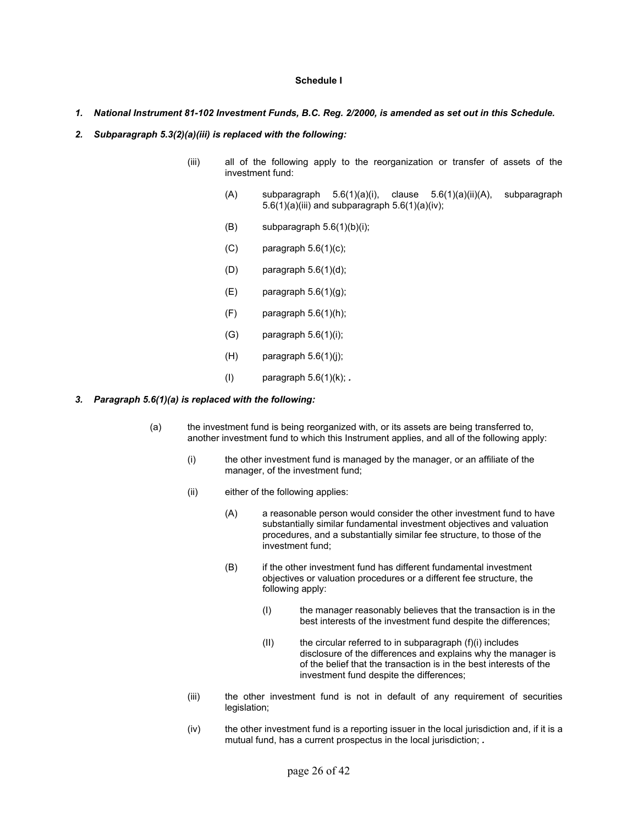# **Schedule I**

- *1. National Instrument 81-102 Investment Funds, B.C. Reg. 2/2000, is amended as set out in this Schedule.*
- *2. Subparagraph 5.3(2)(a)(iii) is replaced with the following:* 
	- (iii) all of the following apply to the reorganization or transfer of assets of the investment fund:
		- (A) subparagraph 5.6(1)(a)(i), clause 5.6(1)(a)(ii)(A), subparagraph  $5.6(1)(a)(iii)$  and subparagraph  $5.6(1)(a)(iv)$ ;
		- $(B)$  subparagraph  $5.6(1)(b)(i)$ ;
		- $(C)$  paragraph  $5.6(1)(c)$ ;
		- (D) paragraph 5.6(1)(d);
		- $(E)$  paragraph  $5.6(1)(g)$ ;
		- $(F)$  paragraph  $5.6(1)(h)$ ;
		- $(G)$  paragraph  $5.6(1)(i)$ ;
		- $(H)$  paragraph  $5.6(1)(j)$ ;
		- (I) paragraph 5.6(1)(k); *.*

#### *3. Paragraph 5.6(1)(a) is replaced with the following:*

- (a) the investment fund is being reorganized with, or its assets are being transferred to, another investment fund to which this Instrument applies, and all of the following apply:
	- (i) the other investment fund is managed by the manager, or an affiliate of the manager, of the investment fund;
	- (ii) either of the following applies:
		- (A) a reasonable person would consider the other investment fund to have substantially similar fundamental investment objectives and valuation procedures, and a substantially similar fee structure, to those of the investment fund;
		- (B) if the other investment fund has different fundamental investment objectives or valuation procedures or a different fee structure, the following apply:
			- (I) the manager reasonably believes that the transaction is in the best interests of the investment fund despite the differences;
			- $(II)$  the circular referred to in subparagraph  $(f)(i)$  includes disclosure of the differences and explains why the manager is of the belief that the transaction is in the best interests of the investment fund despite the differences;
	- (iii) the other investment fund is not in default of any requirement of securities legislation;
	- $(iv)$  the other investment fund is a reporting issuer in the local jurisdiction and, if it is a mutual fund, has a current prospectus in the local jurisdiction; *.*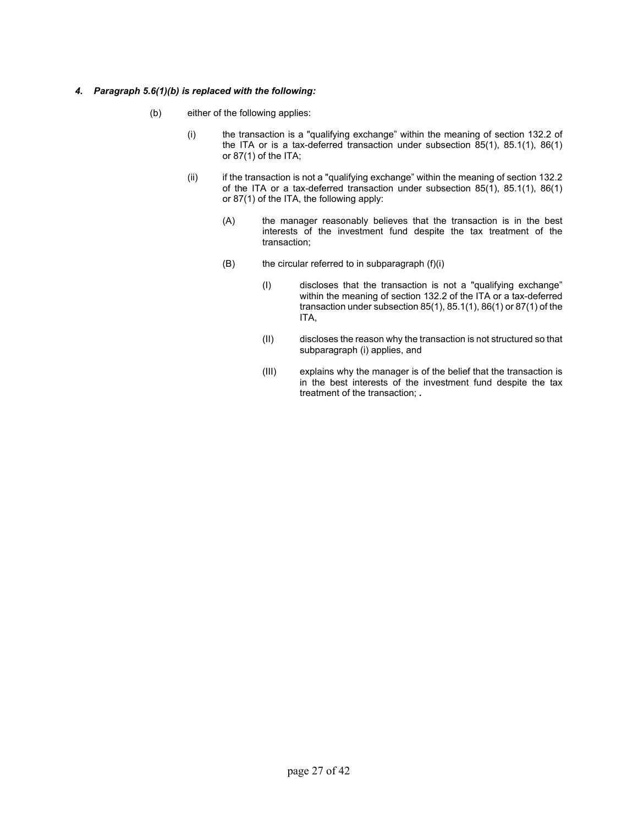# *4. Paragraph 5.6(1)(b) is replaced with the following:*

- (b) either of the following applies:
	- (i) the transaction is a "qualifying exchange" within the meaning of section 132.2 of the ITA or is a tax-deferred transaction under subsection 85(1), 85.1(1), 86(1) or 87(1) of the ITA;
	- (ii) if the transaction is not a "qualifying exchange" within the meaning of section 132.2 of the ITA or a tax-deferred transaction under subsection 85(1), 85.1(1), 86(1) or 87(1) of the ITA, the following apply:
		- (A) the manager reasonably believes that the transaction is in the best interests of the investment fund despite the tax treatment of the transaction;
		- $(B)$  the circular referred to in subparagraph  $(f)(i)$ 
			- (I) discloses that the transaction is not a "qualifying exchange" within the meaning of section 132.2 of the ITA or a tax-deferred transaction under subsection 85(1), 85.1(1), 86(1) or 87(1) of the ITA,
			- (II) discloses the reason why the transaction is not structured so that subparagraph (i) applies, and
			- (III) explains why the manager is of the belief that the transaction is in the best interests of the investment fund despite the tax treatment of the transaction; *.*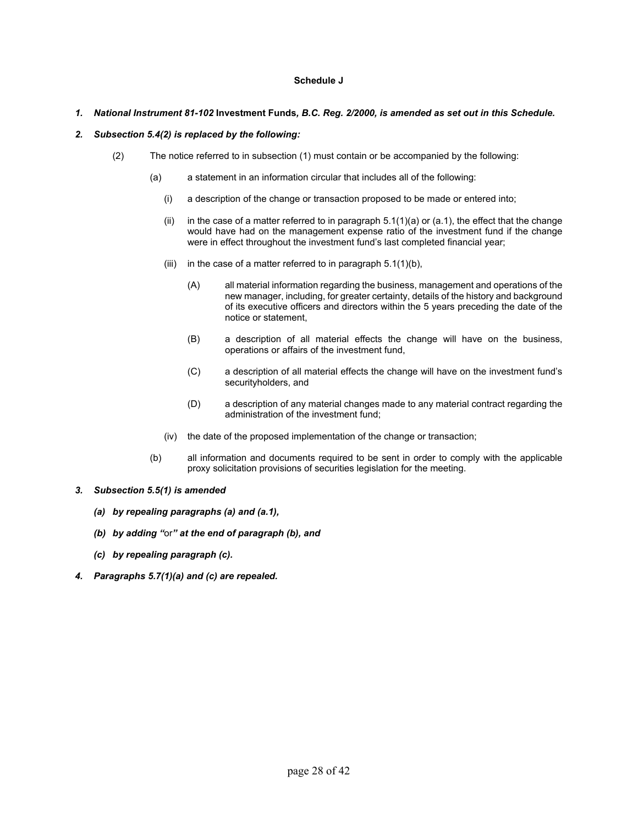# **Schedule J**

# *1. National Instrument 81-102* **Investment Funds***, B.C. Reg. 2/2000, is amended as set out in this Schedule.*

# *2. Subsection 5.4(2) is replaced by the following:*

- (2) The notice referred to in subsection (1) must contain or be accompanied by the following:
	- (a) a statement in an information circular that includes all of the following:
		- (i) a description of the change or transaction proposed to be made or entered into;
		- (ii)in the case of a matter referred to in paragraph 5.1(1)(a) or (a.1), the effect that the change would have had on the management expense ratio of the investment fund if the change were in effect throughout the investment fund's last completed financial year;
		- (iii) in the case of a matter referred to in paragraph  $5.1(1)(b)$ ,
			- (A) all material information regarding the business, management and operations of the new manager, including, for greater certainty, details of the history and background of its executive officers and directors within the 5 years preceding the date of the notice or statement,
			- (B) a description of all material effects the change will have on the business, operations or affairs of the investment fund,
			- (C) a description of all material effects the change will have on the investment fund's securityholders, and
			- (D) a description of any material changes made to any material contract regarding the administration of the investment fund;
		- (iv) the date of the proposed implementation of the change or transaction;
	- (b) all information and documents required to be sent in order to comply with the applicable proxy solicitation provisions of securities legislation for the meeting.
- *3. Subsection 5.5(1) is amended*
	- *(a) by repealing paragraphs (a) and (a.1),*
	- *(b) by adding "*or*" at the end of paragraph (b), and*
	- *(c) by repealing paragraph (c).*
- *4. Paragraphs 5.7(1)(a) and (c) are repealed.*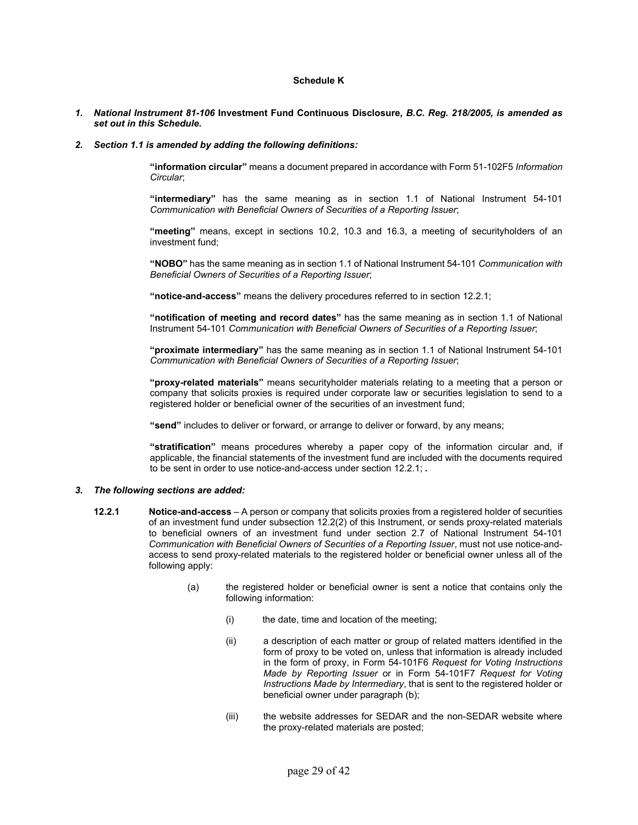# **Schedule K**

#### *1. National Instrument 81-106* **Investment Fund Continuous Disclosure***, B.C. Reg. 218/2005, is amended as set out in this Schedule.*

#### *2. Section 1.1 is amended by adding the following definitions:*

**"information circular"** means a document prepared in accordance with Form 51-102F5 *Information Circular*;

**"intermediary"** has the same meaning as in section 1.1 of National Instrument 54-101 *Communication with Beneficial Owners of Securities of a Reporting Issuer*;

**"meeting"** means, except in sections 10.2, 10.3 and 16.3, a meeting of securityholders of an investment fund;

**"NOBO"** has the same meaning as in section 1.1 of National Instrument 54-101 *Communication with Beneficial Owners of Securities of a Reporting Issuer*;

**"notice-and-access"** means the delivery procedures referred to in section 12.2.1;

**"notification of meeting and record dates"** has the same meaning as in section 1.1 of National Instrument 54-101 *Communication with Beneficial Owners of Securities of a Reporting Issuer*;

**"proximate intermediary"** has the same meaning as in section 1.1 of National Instrument 54-101 *Communication with Beneficial Owners of Securities of a Reporting Issuer*;

**"proxy-related materials"** means securityholder materials relating to a meeting that a person or company that solicits proxies is required under corporate law or securities legislation to send to a registered holder or beneficial owner of the securities of an investment fund;

**"send"** includes to deliver or forward, or arrange to deliver or forward, by any means;

**"stratification"** means procedures whereby a paper copy of the information circular and, if applicable, the financial statements of the investment fund are included with the documents required to be sent in order to use notice-and-access under section 12.2.1; *.* 

#### *3. The following sections are added:*

- **12.2.1 Notice-and-access** A person or company that solicits proxies from a registered holder of securities of an investment fund under subsection 12.2(2) of this Instrument, or sends proxy-related materials to beneficial owners of an investment fund under section 2.7 of National Instrument 54-101 *Communication with Beneficial Owners of Securities of a Reporting Issuer*, must not use notice-andaccess to send proxy-related materials to the registered holder or beneficial owner unless all of the following apply:
	- (a) the registered holder or beneficial owner is sent a notice that contains only the following information:
		- (i) the date, time and location of the meeting;
		- (ii) a description of each matter or group of related matters identified in the form of proxy to be voted on, unless that information is already included in the form of proxy, in Form 54-101F6 *Request for Voting Instructions Made by Reporting Issuer* or in Form 54-101F7 *Request for Voting Instructions Made by Intermediary*, that is sent to the registered holder or beneficial owner under paragraph (b);
		- (iii) the website addresses for SEDAR and the non-SEDAR website where the proxy-related materials are posted;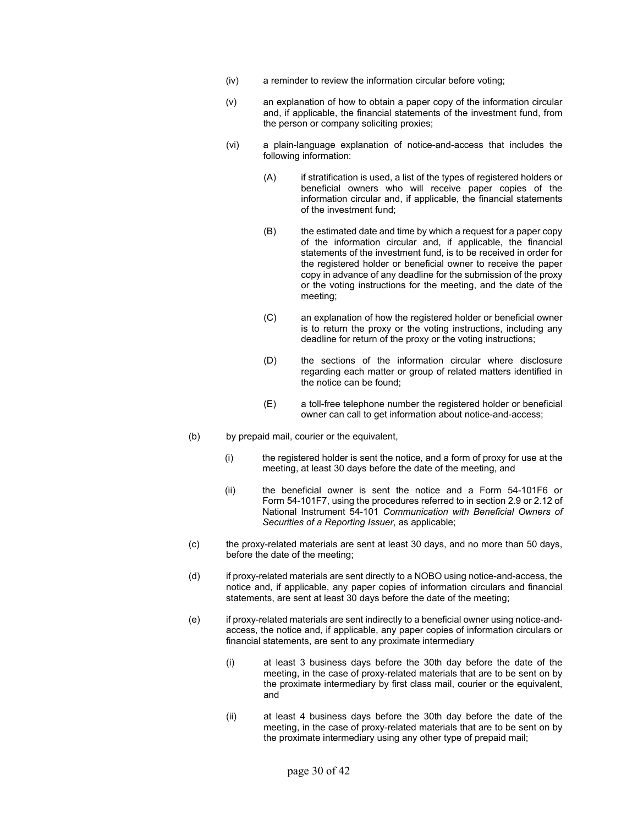- (iv) a reminder to review the information circular before voting;
- (v) an explanation of how to obtain a paper copy of the information circular and, if applicable, the financial statements of the investment fund, from the person or company soliciting proxies;
- (vi) a plain-language explanation of notice-and-access that includes the following information:
	- (A) if stratification is used, a list of the types of registered holders or beneficial owners who will receive paper copies of the information circular and, if applicable, the financial statements of the investment fund;
	- (B) the estimated date and time by which a request for a paper copy of the information circular and, if applicable, the financial statements of the investment fund, is to be received in order for the registered holder or beneficial owner to receive the paper copy in advance of any deadline for the submission of the proxy or the voting instructions for the meeting, and the date of the meeting;
	- (C) an explanation of how the registered holder or beneficial owner is to return the proxy or the voting instructions, including any deadline for return of the proxy or the voting instructions;
	- (D) the sections of the information circular where disclosure regarding each matter or group of related matters identified in the notice can be found;
	- (E) a toll-free telephone number the registered holder or beneficial owner can call to get information about notice-and-access;
- (b) by prepaid mail, courier or the equivalent,
	- (i) the registered holder is sent the notice, and a form of proxy for use at the meeting, at least 30 days before the date of the meeting, and
	- (ii) the beneficial owner is sent the notice and a Form 54-101F6 or Form 54-101F7, using the procedures referred to in section 2.9 or 2.12 of National Instrument 54-101 *Communication with Beneficial Owners of Securities of a Reporting Issuer*, as applicable;
- (c) the proxy-related materials are sent at least 30 days, and no more than 50 days, before the date of the meeting;
- (d) if proxy-related materials are sent directly to a NOBO using notice-and-access, the notice and, if applicable, any paper copies of information circulars and financial statements, are sent at least 30 days before the date of the meeting;
- (e) if proxy-related materials are sent indirectly to a beneficial owner using notice-andaccess, the notice and, if applicable, any paper copies of information circulars or financial statements, are sent to any proximate intermediary
	- (i) at least 3 business days before the 30th day before the date of the meeting, in the case of proxy-related materials that are to be sent on by the proximate intermediary by first class mail, courier or the equivalent, and
	- (ii) at least 4 business days before the 30th day before the date of the meeting, in the case of proxy-related materials that are to be sent on by the proximate intermediary using any other type of prepaid mail;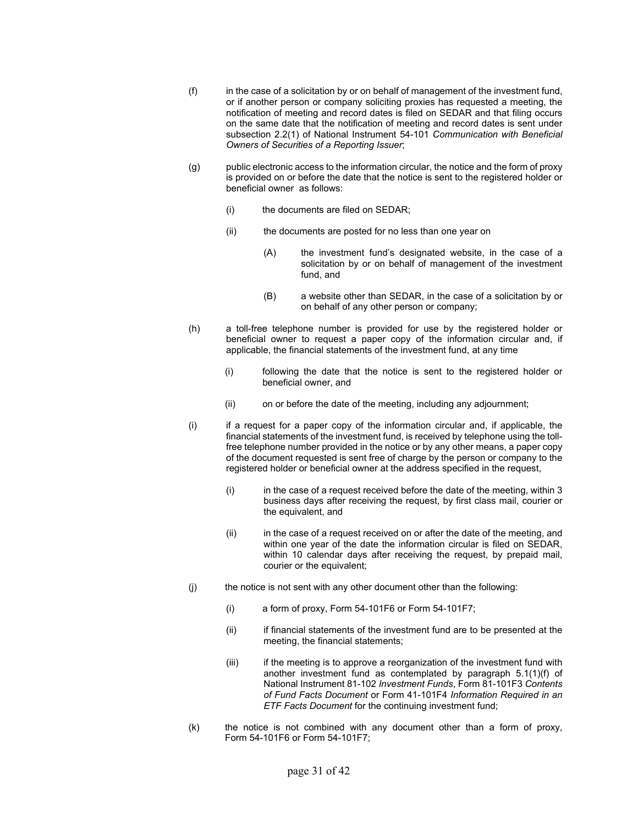- (f) in the case of a solicitation by or on behalf of management of the investment fund, or if another person or company soliciting proxies has requested a meeting, the notification of meeting and record dates is filed on SEDAR and that filing occurs on the same date that the notification of meeting and record dates is sent under subsection 2.2(1) of National Instrument 54-101 *Communication with Beneficial Owners of Securities of a Reporting Issuer*;
- (g) public electronic access to the information circular, the notice and the form of proxy is provided on or before the date that the notice is sent to the registered holder or beneficial owner as follows:
	- (i) the documents are filed on SEDAR;
	- (ii) the documents are posted for no less than one year on
		- (A) the investment fund's designated website, in the case of a solicitation by or on behalf of management of the investment fund, and
		- (B) a website other than SEDAR, in the case of a solicitation by or on behalf of any other person or company;
- (h) a toll-free telephone number is provided for use by the registered holder or beneficial owner to request a paper copy of the information circular and, if applicable, the financial statements of the investment fund, at any time
	- (i) following the date that the notice is sent to the registered holder or beneficial owner, and
	- (ii) on or before the date of the meeting, including any adjournment;
- (i) if a request for a paper copy of the information circular and, if applicable, the financial statements of the investment fund, is received by telephone using the tollfree telephone number provided in the notice or by any other means, a paper copy of the document requested is sent free of charge by the person or company to the registered holder or beneficial owner at the address specified in the request,
	- (i) in the case of a request received before the date of the meeting, within 3 business days after receiving the request, by first class mail, courier or the equivalent, and
	- (ii) in the case of a request received on or after the date of the meeting, and within one year of the date the information circular is filed on SEDAR, within 10 calendar days after receiving the request, by prepaid mail, courier or the equivalent;
- (j) the notice is not sent with any other document other than the following:
	- (i) a form of proxy, Form 54-101F6 or Form 54-101F7;
	- (ii) if financial statements of the investment fund are to be presented at the meeting, the financial statements;
	- (iii) if the meeting is to approve a reorganization of the investment fund with another investment fund as contemplated by paragraph 5.1(1)(f) of National Instrument 81-102 *Investment Funds*, Form 81-101F3 *Contents of Fund Facts Document* or Form 41-101F4 *Information Required in an ETF Facts Document* for the continuing investment fund;
- (k) the notice is not combined with any document other than a form of proxy, Form 54-101F6 or Form 54-101F7;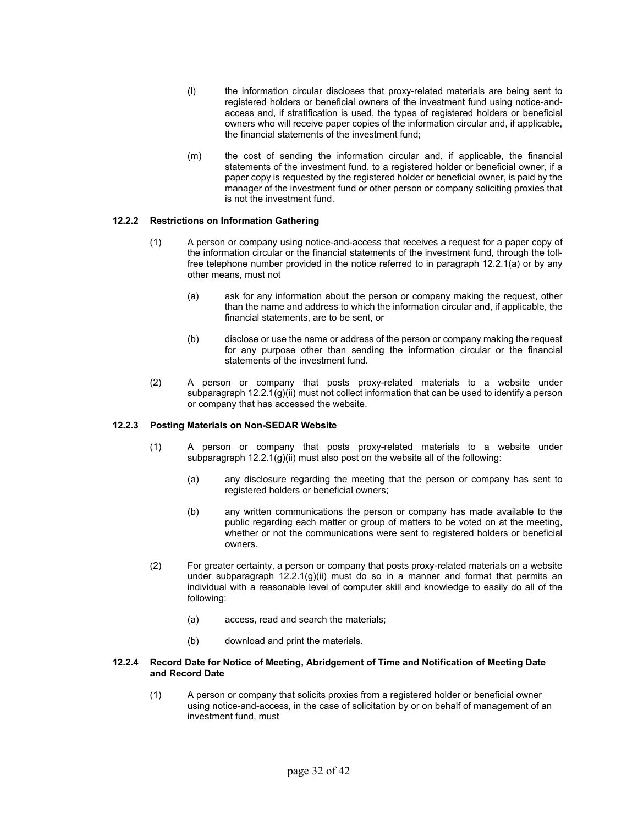- (l) the information circular discloses that proxy-related materials are being sent to registered holders or beneficial owners of the investment fund using notice-andaccess and, if stratification is used, the types of registered holders or beneficial owners who will receive paper copies of the information circular and, if applicable, the financial statements of the investment fund;
- (m) the cost of sending the information circular and, if applicable, the financial statements of the investment fund, to a registered holder or beneficial owner, if a paper copy is requested by the registered holder or beneficial owner, is paid by the manager of the investment fund or other person or company soliciting proxies that is not the investment fund.

# **12.2.2 Restrictions on Information Gathering**

- (1) A person or company using notice-and-access that receives a request for a paper copy of the information circular or the financial statements of the investment fund, through the tollfree telephone number provided in the notice referred to in paragraph 12.2.1(a) or by any other means, must not
	- (a) ask for any information about the person or company making the request, other than the name and address to which the information circular and, if applicable, the financial statements, are to be sent, or
	- (b) disclose or use the name or address of the person or company making the request for any purpose other than sending the information circular or the financial statements of the investment fund.
- (2) A person or company that posts proxy-related materials to a website under subparagraph 12.2.1(g)(ii) must not collect information that can be used to identify a person or company that has accessed the website.

## **12.2.3 Posting Materials on Non-SEDAR Website**

- (1) A person or company that posts proxy-related materials to a website under subparagraph 12.2.1(g)(ii) must also post on the website all of the following:
	- (a) any disclosure regarding the meeting that the person or company has sent to registered holders or beneficial owners;
	- (b) any written communications the person or company has made available to the public regarding each matter or group of matters to be voted on at the meeting, whether or not the communications were sent to registered holders or beneficial owners.
- (2) For greater certainty, a person or company that posts proxy-related materials on a website under subparagraph 12.2.1(g)(ii) must do so in a manner and format that permits an individual with a reasonable level of computer skill and knowledge to easily do all of the following:
	- (a) access, read and search the materials;
	- (b) download and print the materials.

#### **12.2.4 Record Date for Notice of Meeting, Abridgement of Time and Notification of Meeting Date and Record Date**

(1) A person or company that solicits proxies from a registered holder or beneficial owner using notice-and-access, in the case of solicitation by or on behalf of management of an investment fund, must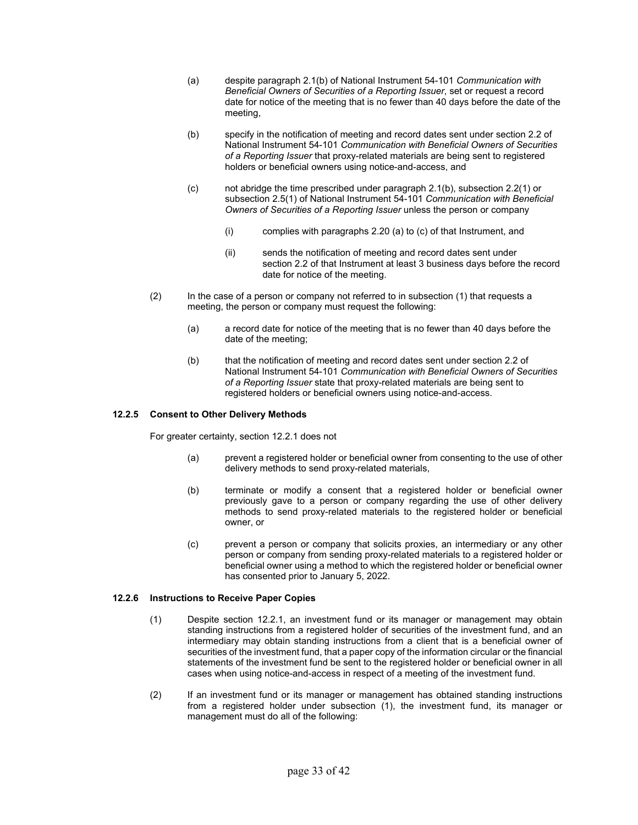- (a) despite paragraph 2.1(b) of National Instrument 54-101 *Communication with Beneficial Owners of Securities of a Reporting Issuer*, set or request a record date for notice of the meeting that is no fewer than 40 days before the date of the meeting,
- (b) specify in the notification of meeting and record dates sent under section 2.2 of National Instrument 54-101 *Communication with Beneficial Owners of Securities of a Reporting Issuer* that proxy-related materials are being sent to registered holders or beneficial owners using notice-and-access, and
- (c) not abridge the time prescribed under paragraph 2.1(b), subsection 2.2(1) or subsection 2.5(1) of National Instrument 54-101 *Communication with Beneficial Owners of Securities of a Reporting Issuer* unless the person or company
	- (i) complies with paragraphs 2.20 (a) to (c) of that Instrument, and
	- (ii) sends the notification of meeting and record dates sent under section 2.2 of that Instrument at least 3 business days before the record date for notice of the meeting.
- (2) In the case of a person or company not referred to in subsection (1) that requests a meeting, the person or company must request the following:
	- (a) a record date for notice of the meeting that is no fewer than 40 days before the date of the meeting;
	- (b) that the notification of meeting and record dates sent under section 2.2 of National Instrument 54-101 *Communication with Beneficial Owners of Securities of a Reporting Issuer* state that proxy-related materials are being sent to registered holders or beneficial owners using notice-and-access.

# **12.2.5 Consent to Other Delivery Methods**

For greater certainty, section 12.2.1 does not

- (a) prevent a registered holder or beneficial owner from consenting to the use of other delivery methods to send proxy-related materials,
- (b) terminate or modify a consent that a registered holder or beneficial owner previously gave to a person or company regarding the use of other delivery methods to send proxy-related materials to the registered holder or beneficial owner, or
- (c) prevent a person or company that solicits proxies, an intermediary or any other person or company from sending proxy-related materials to a registered holder or beneficial owner using a method to which the registered holder or beneficial owner has consented prior to January 5, 2022.

## **12.2.6 Instructions to Receive Paper Copies**

- (1) Despite section 12.2.1, an investment fund or its manager or management may obtain standing instructions from a registered holder of securities of the investment fund, and an intermediary may obtain standing instructions from a client that is a beneficial owner of securities of the investment fund, that a paper copy of the information circular or the financial statements of the investment fund be sent to the registered holder or beneficial owner in all cases when using notice-and-access in respect of a meeting of the investment fund.
- (2) If an investment fund or its manager or management has obtained standing instructions from a registered holder under subsection (1), the investment fund, its manager or management must do all of the following: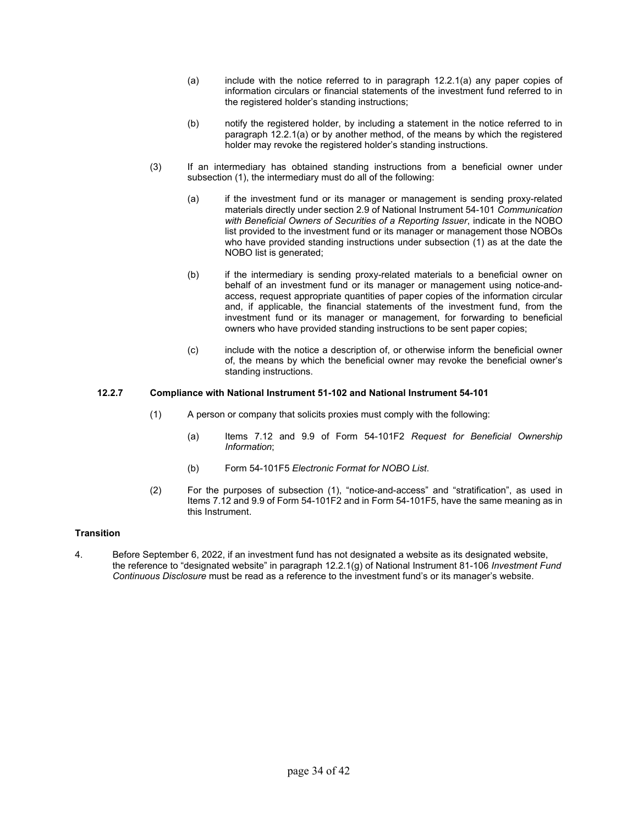- (a) include with the notice referred to in paragraph 12.2.1(a) any paper copies of information circulars or financial statements of the investment fund referred to in the registered holder's standing instructions;
- (b) notify the registered holder, by including a statement in the notice referred to in paragraph 12.2.1(a) or by another method, of the means by which the registered holder may revoke the registered holder's standing instructions.
- (3) If an intermediary has obtained standing instructions from a beneficial owner under subsection (1), the intermediary must do all of the following:
	- (a) if the investment fund or its manager or management is sending proxy-related materials directly under section 2.9 of National Instrument 54-101 *Communication with Beneficial Owners of Securities of a Reporting Issuer*, indicate in the NOBO list provided to the investment fund or its manager or management those NOBOs who have provided standing instructions under subsection (1) as at the date the NOBO list is generated;
	- (b) if the intermediary is sending proxy-related materials to a beneficial owner on behalf of an investment fund or its manager or management using notice-andaccess, request appropriate quantities of paper copies of the information circular and, if applicable, the financial statements of the investment fund, from the investment fund or its manager or management, for forwarding to beneficial owners who have provided standing instructions to be sent paper copies;
	- (c) include with the notice a description of, or otherwise inform the beneficial owner of, the means by which the beneficial owner may revoke the beneficial owner's standing instructions.

# **12.2.7 Compliance with National Instrument 51-102 and National Instrument 54-101**

- (1) A person or company that solicits proxies must comply with the following:
	- (a) Items 7.12 and 9.9 of Form 54-101F2 *Request for Beneficial Ownership Information*;
	- (b) Form 54-101F5 *Electronic Format for NOBO List*.
- (2) For the purposes of subsection (1), "notice-and-access" and "stratification", as used in Items 7.12 and 9.9 of Form 54-101F2 and in Form 54-101F5, have the same meaning as in this Instrument.

## **Transition**

4. Before September 6, 2022, if an investment fund has not designated a website as its designated website, the reference to "designated website" in paragraph 12.2.1(g) of National Instrument 81-106 *Investment Fund Continuous Disclosure* must be read as a reference to the investment fund's or its manager's website.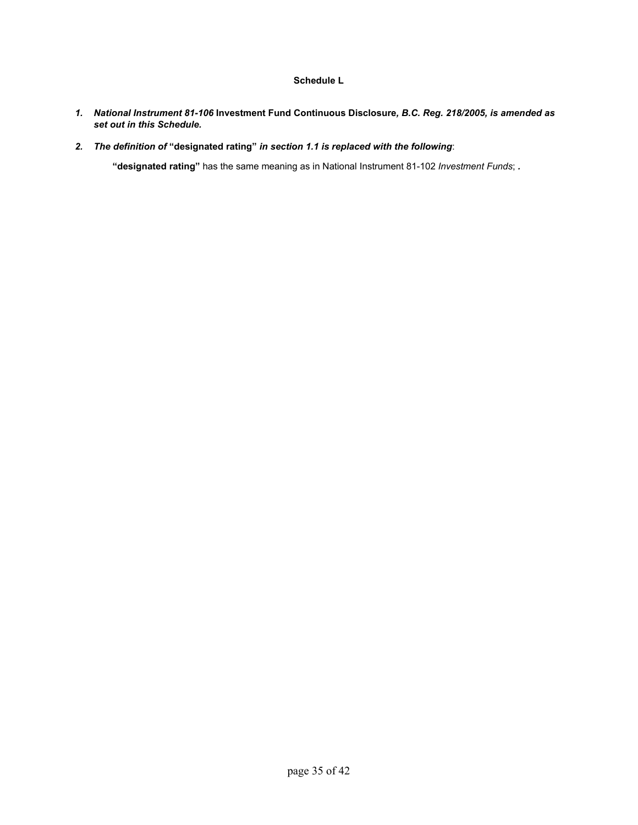# **Schedule L**

- *1. National Instrument 81-106* **Investment Fund Continuous Disclosure***, B.C. Reg. 218/2005, is amended as set out in this Schedule.*
- *2. The definition of* **"designated rating"** *in section 1.1 is replaced with the following*:

**"designated rating"** has the same meaning as in National Instrument 81-102 *Investment Funds*; *.*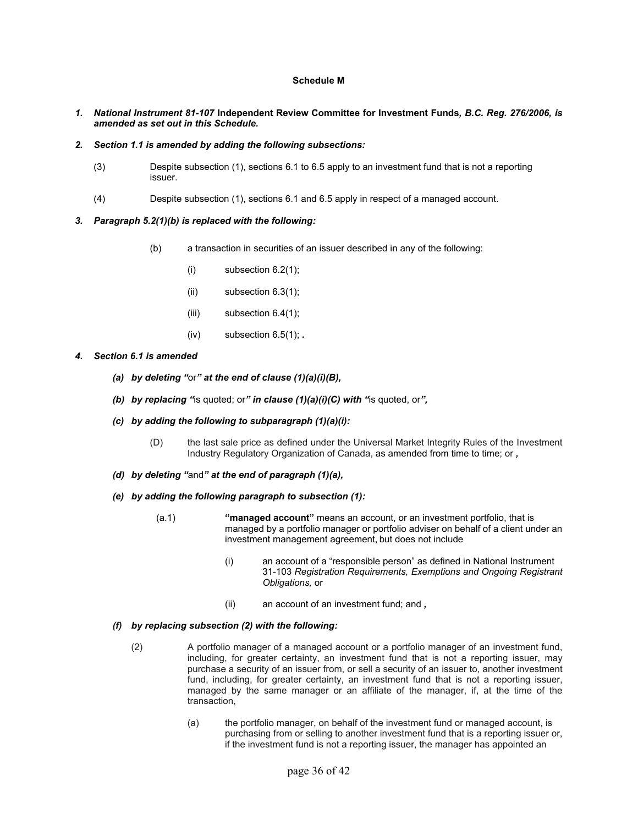## **Schedule M**

- *1. National Instrument 81-107* **Independent Review Committee for Investment Funds***, B.C. Reg. 276/2006, is amended as set out in this Schedule.*
- *2. Section 1.1 is amended by adding the following subsections:*
	- (3) Despite subsection (1), sections 6.1 to 6.5 apply to an investment fund that is not a reporting issuer.
	- $(4)$ Despite subsection (1), sections 6.1 and 6.5 apply in respect of a managed account.
- *3. Paragraph 5.2(1)(b) is replaced with the following:* 
	- (b) a transaction in securities of an issuer described in any of the following:
		- (i) subsection 6.2(1);
		- (ii) subsection 6.3(1);
		- (iii) subsection  $6.4(1)$ ;
		- (iv) subsection 6.5(1); *.*
- *4. Section 6.1 is amended* 
	- *(a) by deleting "*or*" at the end of clause (1)(a)(i)(B),*
	- *(b) by replacing "*is quoted; or*" in clause (1)(a)(i)(C) with "*is quoted, or*",*
	- *(c) by adding the following to subparagraph (1)(a)(i):* 
		- (D) the last sale price as defined under the Universal Market Integrity Rules of the Investment Industry Regulatory Organization of Canada, as amended from time to time; or *,*
	- *(d) by deleting "*and*" at the end of paragraph (1)(a),*
	- *(e) by adding the following paragraph to subsection (1):* 
		- (a.1) **"managed account"** means an account, or an investment portfolio, that is managed by a portfolio manager or portfolio adviser on behalf of a client under an investment management agreement, but does not include
			- (i) an account of a "responsible person" as defined in National Instrument 31-103 *Registration Requirements, Exemptions and Ongoing Registrant Obligations,* or
			- (ii) an account of an investment fund; and *,*

## *(f) by replacing subsection (2) with the following:*

- (2) A portfolio manager of a managed account or a portfolio manager of an investment fund, including, for greater certainty, an investment fund that is not a reporting issuer, may purchase a security of an issuer from, or sell a security of an issuer to, another investment fund, including, for greater certainty, an investment fund that is not a reporting issuer, managed by the same manager or an affiliate of the manager, if, at the time of the transaction,
	- (a) the portfolio manager, on behalf of the investment fund or managed account, is purchasing from or selling to another investment fund that is a reporting issuer or, if the investment fund is not a reporting issuer, the manager has appointed an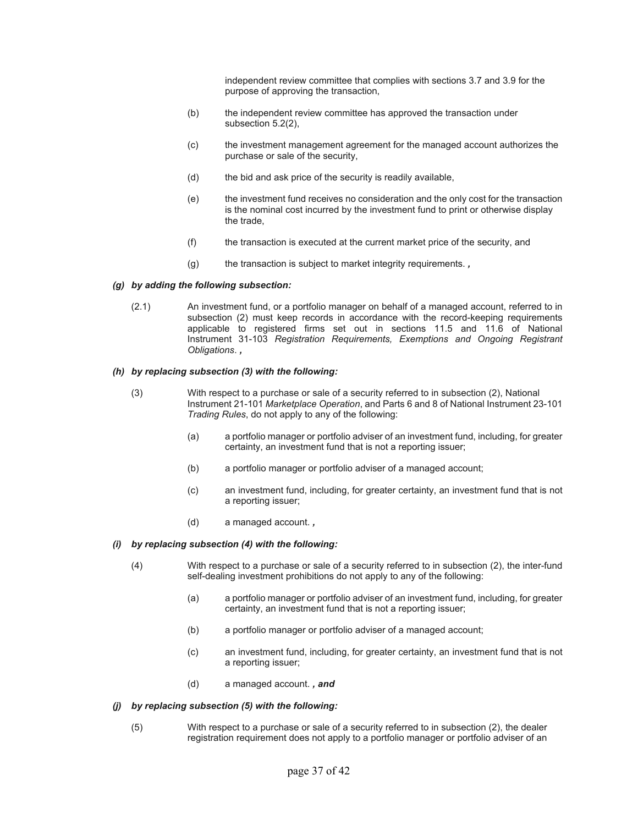independent review committee that complies with sections 3.7 and 3.9 for the purpose of approving the transaction,

- (b) the independent review committee has approved the transaction under subsection 5.2(2),
- (c) the investment management agreement for the managed account authorizes the purchase or sale of the security,
- (d) the bid and ask price of the security is readily available,
- (e) the investment fund receives no consideration and the only cost for the transaction is the nominal cost incurred by the investment fund to print or otherwise display the trade,
- (f) the transaction is executed at the current market price of the security, and
- (g) the transaction is subject to market integrity requirements. *,*

#### *(g) by adding the following subsection:*

(2.1) An investment fund, or a portfolio manager on behalf of a managed account, referred to in subsection (2) must keep records in accordance with the record-keeping requirements applicable to registered firms set out in sections 11.5 and 11.6 of National Instrument 31-103 *Registration Requirements, Exemptions and Ongoing Registrant Obligations*. *,*

# *(h) by replacing subsection (3) with the following:*

- (3) With respect to a purchase or sale of a security referred to in subsection (2), National Instrument 21-101 *Marketplace Operation*, and Parts 6 and 8 of National Instrument 23-101 *Trading Rules*, do not apply to any of the following:
	- (a) a portfolio manager or portfolio adviser of an investment fund, including, for greater certainty, an investment fund that is not a reporting issuer;
	- (b) a portfolio manager or portfolio adviser of a managed account;
	- (c) an investment fund, including, for greater certainty, an investment fund that is not a reporting issuer;
	- (d) a managed account. *,*

## *(i) by replacing subsection (4) with the following:*

- (4) With respect to a purchase or sale of a security referred to in subsection (2), the inter-fund self-dealing investment prohibitions do not apply to any of the following:
	- (a) a portfolio manager or portfolio adviser of an investment fund, including, for greater certainty, an investment fund that is not a reporting issuer;
	- (b) a portfolio manager or portfolio adviser of a managed account;
	- (c) an investment fund, including, for greater certainty, an investment fund that is not a reporting issuer;
	- (d) a managed account. *, and*

#### *(j) by replacing subsection (5) with the following:*

(5) With respect to a purchase or sale of a security referred to in subsection (2), the dealer registration requirement does not apply to a portfolio manager or portfolio adviser of an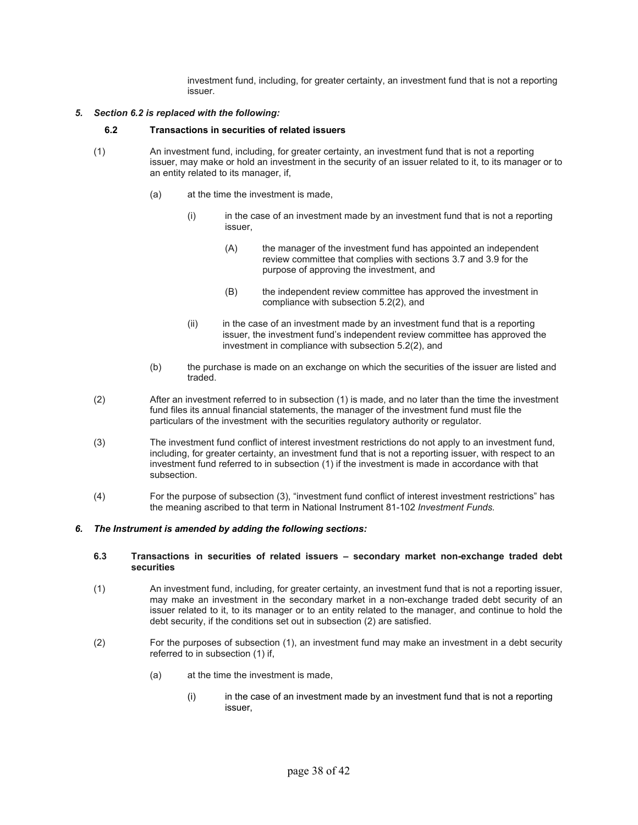investment fund, including, for greater certainty, an investment fund that is not a reporting issuer.

#### *5. Section 6.2 is replaced with the following:*

#### **6.2 Transactions in securities of related issuers**

- (1) An investment fund, including, for greater certainty, an investment fund that is not a reporting issuer, may make or hold an investment in the security of an issuer related to it, to its manager or to an entity related to its manager, if,
	- (a) at the time the investment is made,
		- (i) in the case of an investment made by an investment fund that is not a reporting issuer,
			- (A) the manager of the investment fund has appointed an independent review committee that complies with sections 3.7 and 3.9 for the purpose of approving the investment, and
			- (B) the independent review committee has approved the investment in compliance with subsection 5.2(2), and
		- (ii) in the case of an investment made by an investment fund that is a reporting issuer, the investment fund's independent review committee has approved the investment in compliance with subsection 5.2(2), and
	- (b) the purchase is made on an exchange on which the securities of the issuer are listed and traded.
- (2) After an investment referred to in subsection (1) is made, and no later than the time the investment fund files its annual financial statements, the manager of the investment fund must file the particulars of the investment with the securities regulatory authority or regulator.
- (3) The investment fund conflict of interest investment restrictions do not apply to an investment fund, including, for greater certainty, an investment fund that is not a reporting issuer, with respect to an investment fund referred to in subsection (1) if the investment is made in accordance with that subsection.
- (4) For the purpose of subsection (3), "investment fund conflict of interest investment restrictions" has the meaning ascribed to that term in National Instrument 81-102 *Investment Funds.*

#### *6. The Instrument is amended by adding the following sections:*

#### **6.3 Transactions in securities of related issuers – secondary market non-exchange traded debt securities**

- (1) An investment fund, including, for greater certainty, an investment fund that is not a reporting issuer, may make an investment in the secondary market in a non-exchange traded debt security of an issuer related to it, to its manager or to an entity related to the manager, and continue to hold the debt security, if the conditions set out in subsection (2) are satisfied.
- (2) For the purposes of subsection (1), an investment fund may make an investment in a debt security referred to in subsection (1) if,
	- (a) at the time the investment is made,
		- (i) in the case of an investment made by an investment fund that is not a reporting issuer,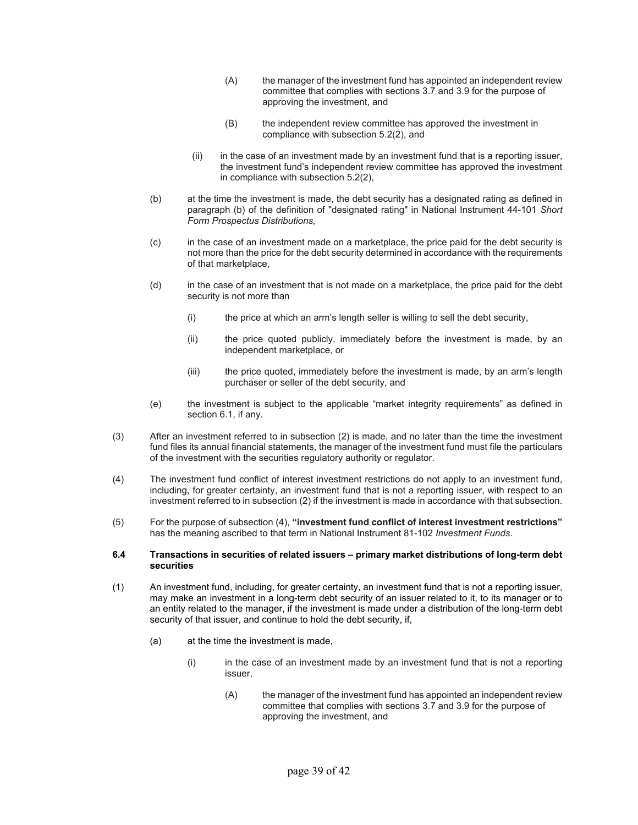- (A) the manager of the investment fund has appointed an independent review committee that complies with sections 3.7 and 3.9 for the purpose of approving the investment, and
- (B) the independent review committee has approved the investment in compliance with subsection 5.2(2), and
- (ii) in the case of an investment made by an investment fund that is a reporting issuer, the investment fund's independent review committee has approved the investment in compliance with subsection 5.2(2),
- (b) at the time the investment is made, the debt security has a designated rating as defined in paragraph (b) of the definition of "designated rating" in National Instrument 44-101 *Short Form Prospectus Distributions,*
- (c) in the case of an investment made on a marketplace, the price paid for the debt security is not more than the price for the debt security determined in accordance with the requirements of that marketplace,
- (d) in the case of an investment that is not made on a marketplace, the price paid for the debt security is not more than
	- (i) the price at which an arm's length seller is willing to sell the debt security,
	- (ii) the price quoted publicly, immediately before the investment is made, by an independent marketplace, or
	- (iii) the price quoted, immediately before the investment is made, by an arm's length purchaser or seller of the debt security, and
- (e) the investment is subject to the applicable "market integrity requirements" as defined in section 6.1, if any.
- (3) After an investment referred to in subsection (2) is made, and no later than the time the investment fund files its annual financial statements, the manager of the investment fund must file the particulars of the investment with the securities regulatory authority or regulator.
- (4) The investment fund conflict of interest investment restrictions do not apply to an investment fund, including, for greater certainty, an investment fund that is not a reporting issuer, with respect to an investment referred to in subsection (2) if the investment is made in accordance with that subsection.
- (5) For the purpose of subsection (4), **"investment fund conflict of interest investment restrictions"** has the meaning ascribed to that term in National Instrument 81-102 *Investment Funds*.

#### **6.4 Transactions in securities of related issuers – primary market distributions of long-term debt securities**

- (1) An investment fund, including, for greater certainty, an investment fund that is not a reporting issuer, may make an investment in a long-term debt security of an issuer related to it, to its manager or to an entity related to the manager, if the investment is made under a distribution of the long-term debt security of that issuer, and continue to hold the debt security, if,
	- (a) at the time the investment is made,
		- (i) in the case of an investment made by an investment fund that is not a reporting issuer,
			- (A) the manager of the investment fund has appointed an independent review committee that complies with sections 3.7 and 3.9 for the purpose of approving the investment, and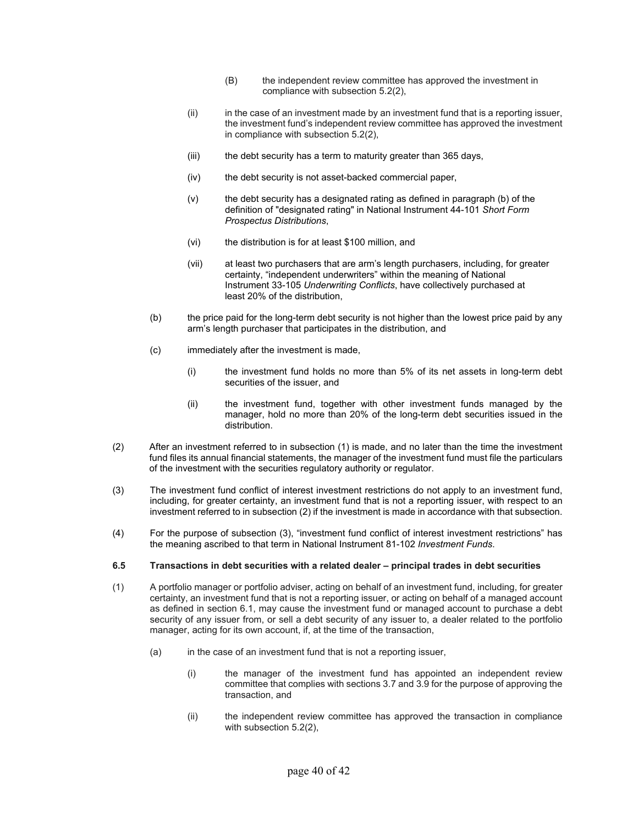- (B) the independent review committee has approved the investment in compliance with subsection 5.2(2),
- (ii) in the case of an investment made by an investment fund that is a reporting issuer, the investment fund's independent review committee has approved the investment in compliance with subsection 5.2(2),
- (iii) the debt security has a term to maturity greater than 365 days,
- (iv) the debt security is not asset-backed commercial paper,
- (v) the debt security has a designated rating as defined in paragraph (b) of the definition of "designated rating" in National Instrument 44-101 *Short Form Prospectus Distributions*,
- (vi) the distribution is for at least \$100 million, and
- (vii) at least two purchasers that are arm's length purchasers, including, for greater certainty, "independent underwriters" within the meaning of National Instrument 33-105 *Underwriting Conflicts*, have collectively purchased at least 20% of the distribution,
- (b) the price paid for the long-term debt security is not higher than the lowest price paid by any arm's length purchaser that participates in the distribution, and
- (c) immediately after the investment is made,
	- (i) the investment fund holds no more than 5% of its net assets in long-term debt securities of the issuer, and
	- (ii) the investment fund, together with other investment funds managed by the manager, hold no more than 20% of the long-term debt securities issued in the distribution.
- (2) After an investment referred to in subsection (1) is made, and no later than the time the investment fund files its annual financial statements, the manager of the investment fund must file the particulars of the investment with the securities regulatory authority or regulator.
- (3) The investment fund conflict of interest investment restrictions do not apply to an investment fund, including, for greater certainty, an investment fund that is not a reporting issuer, with respect to an investment referred to in subsection (2) if the investment is made in accordance with that subsection.
- (4) For the purpose of subsection (3), "investment fund conflict of interest investment restrictions" has the meaning ascribed to that term in National Instrument 81-102 *Investment Funds*.

## **6.5 Transactions in debt securities with a related dealer – principal trades in debt securities**

- (1) A portfolio manager or portfolio adviser, acting on behalf of an investment fund, including, for greater certainty, an investment fund that is not a reporting issuer, or acting on behalf of a managed account as defined in section 6.1, may cause the investment fund or managed account to purchase a debt security of any issuer from, or sell a debt security of any issuer to, a dealer related to the portfolio manager, acting for its own account, if, at the time of the transaction,
	- (a) in the case of an investment fund that is not a reporting issuer,
		- (i) the manager of the investment fund has appointed an independent review committee that complies with sections 3.7 and 3.9 for the purpose of approving the transaction, and
		- (ii) the independent review committee has approved the transaction in compliance with subsection 5.2(2),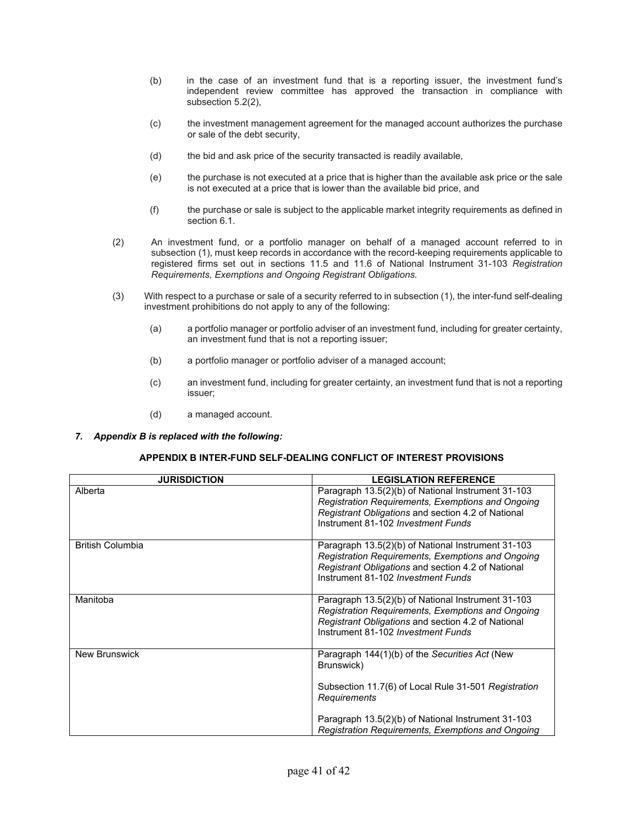- (b) in the case of an investment fund that is a reporting issuer, the investment fund's independent review committee has approved the transaction in compliance with subsection 5.2(2),
- (c) the investment management agreement for the managed account authorizes the purchase or sale of the debt security,
- (d) the bid and ask price of the security transacted is readily available,
- (e) the purchase is not executed at a price that is higher than the available ask price or the sale is not executed at a price that is lower than the available bid price, and
- (f) the purchase or sale is subject to the applicable market integrity requirements as defined in section 6.1.
- (2) An investment fund, or a portfolio manager on behalf of a managed account referred to in subsection (1), must keep records in accordance with the record-keeping requirements applicable to registered firms set out in sections 11.5 and 11.6 of National Instrument 31-103 *Registration Requirements, Exemptions and Ongoing Registrant Obligations.*
- (3) With respect to a purchase or sale of a security referred to in subsection (1), the inter-fund self-dealing investment prohibitions do not apply to any of the following:
	- (a) a portfolio manager or portfolio adviser of an investment fund, including for greater certainty, an investment fund that is not a reporting issuer;
	- (b) a portfolio manager or portfolio adviser of a managed account;
	- (c) an investment fund, including for greater certainty, an investment fund that is not a reporting issuer;
	- (d) a managed account.
- *7. Appendix B is replaced with the following:*

## **APPENDIX B INTER-FUND SELF-DEALING CONFLICT OF INTEREST PROVISIONS**

| <b>JURISDICTION</b>     | <b>LEGISLATION REFERENCE</b>                                                                                                                                                                        |  |
|-------------------------|-----------------------------------------------------------------------------------------------------------------------------------------------------------------------------------------------------|--|
| Alberta                 | Paragraph 13.5(2)(b) of National Instrument 31-103<br>Registration Requirements, Exemptions and Ongoing<br>Registrant Obligations and section 4.2 of National<br>Instrument 81-102 Investment Funds |  |
| <b>British Columbia</b> | Paragraph 13.5(2)(b) of National Instrument 31-103<br>Registration Requirements, Exemptions and Ongoing<br>Registrant Obligations and section 4.2 of National<br>Instrument 81-102 Investment Funds |  |
| Manitoba                | Paragraph 13.5(2)(b) of National Instrument 31-103<br>Registration Requirements, Exemptions and Ongoing<br>Registrant Obligations and section 4.2 of National<br>Instrument 81-102 Investment Funds |  |
| <b>New Brunswick</b>    | Paragraph 144(1)(b) of the Securities Act (New<br>Brunswick)<br>Subsection 11.7(6) of Local Rule 31-501 Registration<br><b>Requirements</b>                                                         |  |
|                         | Paragraph 13.5(2)(b) of National Instrument 31-103<br>Registration Requirements, Exemptions and Ongoing                                                                                             |  |